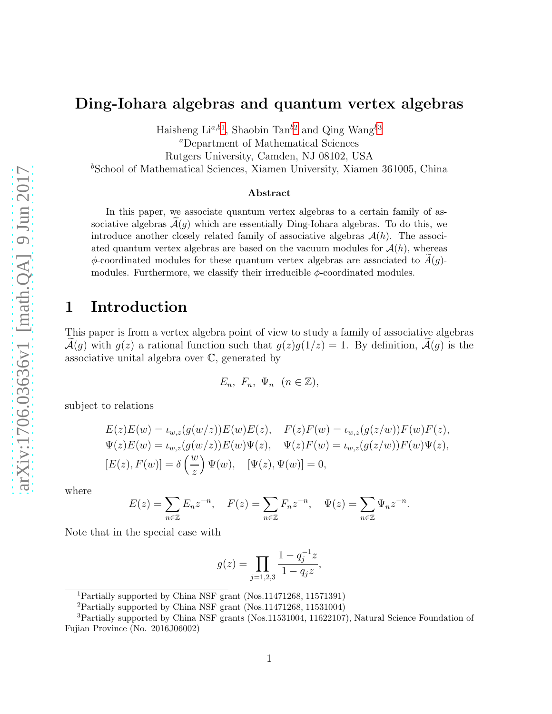#### Ding-Iohara algebras and quantum vertex algebras

Haisheng Li<sup>a,b[1](#page-0-0)</sup>, Shaobin Tan<sup>b[2](#page-0-1)</sup> and Qing Wang<sup>b[3](#page-0-2)</sup>

<sup>a</sup>Department of Mathematical Sciences

Rutgers University, Camden, NJ 08102, USA

<sup>b</sup>School of Mathematical Sciences, Xiamen University, Xiamen 361005, China

#### Abstract

In this paper, we associate quantum vertex algebras to a certain family of associative algebras  $\mathcal{A}(g)$  which are essentially Ding-Iohara algebras. To do this, we introduce another closely related family of associative algebras  $\mathcal{A}(h)$ . The associated quantum vertex algebras are based on the vacuum modules for  $\mathcal{A}(h)$ , whereas  $\phi$ -coordinated modules for these quantum vertex algebras are associated to  $A(g)$ modules. Furthermore, we classify their irreducible  $\phi$ -coordinated modules.

#### 1 Introduction

This paper is from a vertex algebra point of view to study a family of associative algebras  $\mathcal{A}(g)$  with  $g(z)$  a rational function such that  $g(z)g(1/z) = 1$ . By definition,  $\widetilde{\mathcal{A}}(g)$  is the associative unital algebra over C, generated by

$$
E_n, F_n, \Psi_n \ (n \in \mathbb{Z}),
$$

subject to relations

$$
E(z)E(w) = \iota_{w,z}(g(w/z))E(w)E(z), \quad F(z)F(w) = \iota_{w,z}(g(z/w))F(w)F(z),
$$
  

$$
\Psi(z)E(w) = \iota_{w,z}(g(w/z))E(w)\Psi(z), \quad \Psi(z)F(w) = \iota_{w,z}(g(z/w))F(w)\Psi(z),
$$
  

$$
[E(z), F(w)] = \delta\left(\frac{w}{z}\right)\Psi(w), \quad [\Psi(z), \Psi(w)] = 0,
$$

where

$$
E(z) = \sum_{n \in \mathbb{Z}} E_n z^{-n}, \quad F(z) = \sum_{n \in \mathbb{Z}} F_n z^{-n}, \quad \Psi(z) = \sum_{n \in \mathbb{Z}} \Psi_n z^{-n}.
$$

Note that in the special case with

$$
g(z) = \prod_{j=1,2,3} \frac{1 - q_j^{-1} z}{1 - q_j z},
$$

<sup>1</sup>Partially supported by China NSF grant (Nos.11471268, 11571391)

<span id="page-0-1"></span><span id="page-0-0"></span><sup>2</sup>Partially supported by China NSF grant (Nos.11471268, 11531004)

<span id="page-0-2"></span><sup>3</sup>Partially supported by China NSF grants (Nos.11531004, 11622107), Natural Science Foundation of Fujian Province (No. 2016J06002)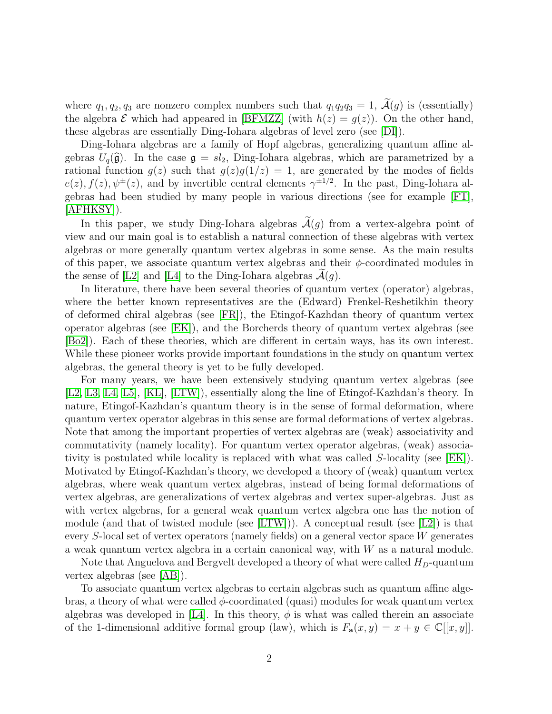where  $q_1, q_2, q_3$  are nonzero complex numbers such that  $q_1q_2q_3 = 1$ ,  $\tilde{\mathcal{A}}(g)$  is (essentially) the algebra  $\mathcal E$  which had appeared in [\[BFMZZ\]](#page-30-0) (with  $h(z) = g(z)$ ). On the other hand, these algebras are essentially Ding-Iohara algebras of level zero (see [\[DI\]](#page-31-0)).

Ding-Iohara algebras are a family of Hopf algebras, generalizing quantum affine algebras  $U_q(\hat{\mathfrak{g}})$ . In the case  $\mathfrak{g} = sl_2$ , Ding-Iohara algebras, which are parametrized by a rational function  $g(z)$  such that  $g(z)g(1/z) = 1$ , are generated by the modes of fields  $e(z)$ ,  $f(z)$ ,  $\psi^{\pm}(z)$ , and by invertible central elements  $\gamma^{\pm 1/2}$ . In the past, Ding-Iohara algebras had been studied by many people in various directions (see for example [\[FT\]](#page-31-1), [\[AFHKSY\]](#page-30-1)).

In this paper, we study Ding-Iohara algebras  $\tilde{A}(q)$  from a vertex-algebra point of view and our main goal is to establish a natural connection of these algebras with vertex algebras or more generally quantum vertex algebras in some sense. As the main results of this paper, we associate quantum vertex algebras and their  $\phi$ -coordinated modules in the sense of [\[L2\]](#page-31-2) and [\[L4\]](#page-31-3) to the Ding-Iohara algebras  $\mathcal{A}(q)$ .

In literature, there have been several theories of quantum vertex (operator) algebras, where the better known representatives are the (Edward) Frenkel-Reshetikhin theory of deformed chiral algebras (see [\[FR\]](#page-31-4)), the Etingof-Kazhdan theory of quantum vertex operator algebras (see [\[EK\]](#page-31-5)), and the Borcherds theory of quantum vertex algebras (see [\[Bo2\]](#page-31-6)). Each of these theories, which are different in certain ways, has its own interest. While these pioneer works provide important foundations in the study on quantum vertex algebras, the general theory is yet to be fully developed.

For many years, we have been extensively studying quantum vertex algebras (see [\[L2,](#page-31-2) [L3,](#page-31-7) [L4,](#page-31-3) [L5\]](#page-31-8), [\[KL\]](#page-31-9), [\[LTW\]](#page-32-0)), essentially along the line of Etingof-Kazhdan's theory. In nature, Etingof-Kazhdan's quantum theory is in the sense of formal deformation, where quantum vertex operator algebras in this sense are formal deformations of vertex algebras. Note that among the important properties of vertex algebras are (weak) associativity and commutativity (namely locality). For quantum vertex operator algebras, (weak) associativity is postulated while locality is replaced with what was called S-locality (see [\[EK\]](#page-31-5)). Motivated by Etingof-Kazhdan's theory, we developed a theory of (weak) quantum vertex algebras, where weak quantum vertex algebras, instead of being formal deformations of vertex algebras, are generalizations of vertex algebras and vertex super-algebras. Just as with vertex algebras, for a general weak quantum vertex algebra one has the notion of module (and that of twisted module (see [\[LTW\]](#page-32-0))). A conceptual result (see [\[L2\]](#page-31-2)) is that every S-local set of vertex operators (namely fields) on a general vector space W generates a weak quantum vertex algebra in a certain canonical way, with  $W$  as a natural module.

Note that Anguelova and Bergvelt developed a theory of what were called  $H_D$ -quantum vertex algebras (see [\[AB\]](#page-30-2)).

To associate quantum vertex algebras to certain algebras such as quantum affine algebras, a theory of what were called  $\phi$ -coordinated (quasi) modules for weak quantum vertex algebras was developed in [\[L4\]](#page-31-3). In this theory,  $\phi$  is what was called therein an associate of the 1-dimensional additive formal group (law), which is  $F_{\mathbf{a}}(x, y) = x + y \in \mathbb{C}[[x, y]]$ .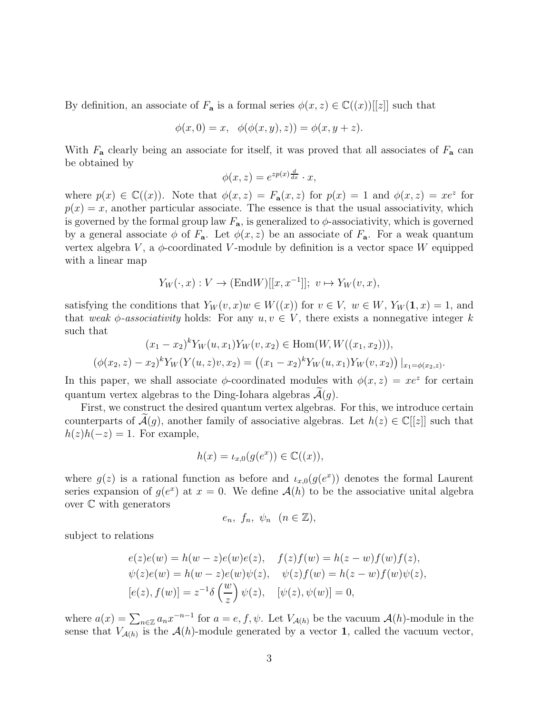By definition, an associate of  $F_a$  is a formal series  $\phi(x, z) \in \mathbb{C}((x))[[z]]$  such that

$$
\phi(x, 0) = x, \ \ \phi(\phi(x, y), z)) = \phi(x, y + z).
$$

With  $F_a$  clearly being an associate for itself, it was proved that all associates of  $F_a$  can be obtained by

$$
\phi(x,z) = e^{zp(x)\frac{d}{dx}} \cdot x,
$$

where  $p(x) \in \mathbb{C}((x))$ . Note that  $\phi(x, z) = F_a(x, z)$  for  $p(x) = 1$  and  $\phi(x, z) = xe^z$  for  $p(x) = x$ , another particular associate. The essence is that the usual associativity, which is governed by the formal group law  $F_a$ , is generalized to  $\phi$ -associativity, which is governed by a general associate  $\phi$  of  $F_a$ . Let  $\phi(x, z)$  be an associate of  $F_a$ . For a weak quantum vertex algebra  $V$ , a  $\phi$ -coordinated V-module by definition is a vector space W equipped with a linear map

$$
Y_W(\cdot, x) : V \to (\text{End}W)[[x, x^{-1}]]; v \mapsto Y_W(v, x),
$$

satisfying the conditions that  $Y_W(v, x)w \in W((x))$  for  $v \in V$ ,  $w \in W$ ,  $Y_W(1, x) = 1$ , and that weak  $\phi$ -associativity holds: For any  $u, v \in V$ , there exists a nonnegative integer k such that

$$
(x_1 - x_2)^k Y_W(u, x_1) Y_W(v, x_2) \in \text{Hom}(W, W((x_1, x_2))),
$$
  

$$
(\phi(x_2, z) - x_2)^k Y_W(Y(u, z)v, x_2) = ((x_1 - x_2)^k Y_W(u, x_1) Y_W(v, x_2)) |_{x_1 = \phi(x_2, z)}.
$$

In this paper, we shall associate  $\phi$ -coordinated modules with  $\phi(x, z) = xe^z$  for certain quantum vertex algebras to the Ding-Iohara algebras  $\mathcal{A}(q)$ .

First, we construct the desired quantum vertex algebras. For this, we introduce certain counterparts of  $\mathcal{A}(g)$ , another family of associative algebras. Let  $h(z) \in \mathbb{C}[[z]]$  such that  $h(z)h(-z) = 1$ . For example,

$$
h(x) = \iota_{x,0}(g(e^x)) \in \mathbb{C}((x)),
$$

where  $g(z)$  is a rational function as before and  $\iota_{x,0}(g(e^x))$  denotes the formal Laurent series expansion of  $g(e^x)$  at  $x = 0$ . We define  $\mathcal{A}(h)$  to be the associative unital algebra over C with generators

$$
e_n, f_n, \psi_n \ (n \in \mathbb{Z}),
$$

subject to relations

$$
e(z)e(w) = h(w - z)e(w)e(z), \quad f(z)f(w) = h(z - w)f(w)f(z),
$$
  

$$
\psi(z)e(w) = h(w - z)e(w)\psi(z), \quad \psi(z)f(w) = h(z - w)f(w)\psi(z),
$$
  

$$
[e(z), f(w)] = z^{-1}\delta\left(\frac{w}{z}\right)\psi(z), \quad [\psi(z), \psi(w)] = 0,
$$

where  $a(x) = \sum_{n \in \mathbb{Z}} a_n x^{-n-1}$  for  $a = e, f, \psi$ . Let  $V_{\mathcal{A}(h)}$  be the vacuum  $\mathcal{A}(h)$ -module in the sense that  $V_{\mathcal{A}(h)}$  is the  $\mathcal{A}(h)$ -module generated by a vector 1, called the vacuum vector,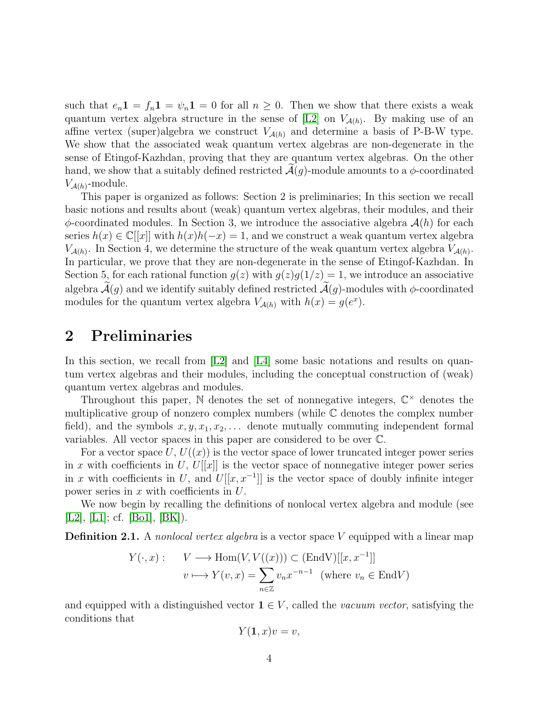such that  $e_n \mathbf{1} = f_n \mathbf{1} = \psi_n \mathbf{1} = 0$  for all  $n \geq 0$ . Then we show that there exists a weak quantum vertex algebra structure in the sense of  $[L2]$  on  $V_{\mathcal{A}(h)}$ . By making use of an affine vertex (super)algebra we construct  $V_{\mathcal{A}(h)}$  and determine a basis of P-B-W type. We show that the associated weak quantum vertex algebras are non-degenerate in the sense of Etingof-Kazhdan, proving that they are quantum vertex algebras. On the other hand, we show that a suitably defined restricted  $\mathcal{A}(g)$ -module amounts to a  $\phi$ -coordinated  $V_{\mathcal{A}(h)}$ -module.

This paper is organized as follows: Section 2 is preliminaries; In this section we recall basic notions and results about (weak) quantum vertex algebras, their modules, and their  $\phi$ -coordinated modules. In Section 3, we introduce the associative algebra  $\mathcal{A}(h)$  for each series  $h(x) \in \mathbb{C}[[x]]$  with  $h(x)h(-x) = 1$ , and we construct a weak quantum vertex algebra  $V_{\mathcal{A}(h)}$ . In Section 4, we determine the structure of the weak quantum vertex algebra  $V_{\mathcal{A}(h)}$ . In particular, we prove that they are non-degenerate in the sense of Etingof-Kazhdan. In Section 5, for each rational function  $g(z)$  with  $g(z)g(1/z) = 1$ , we introduce an associative algebra  $\mathcal{A}(g)$  and we identify suitably defined restricted  $\mathcal{A}(g)$ -modules with  $\phi$ -coordinated modules for the quantum vertex algebra  $V_{\mathcal{A}(h)}$  with  $h(x) = g(e^x)$ .

### 2 Preliminaries

In this section, we recall from  $[L2]$  and  $[L4]$  some basic notations and results on quantum vertex algebras and their modules, including the conceptual construction of (weak) quantum vertex algebras and modules.

Throughout this paper,  $\mathbb N$  denotes the set of nonnegative integers,  $\mathbb C^{\times}$  denotes the multiplicative group of nonzero complex numbers (while C denotes the complex number field), and the symbols  $x, y, x_1, x_2, \ldots$  denote mutually commuting independent formal variables. All vector spaces in this paper are considered to be over C.

For a vector space  $U, U(x)$  is the vector space of lower truncated integer power series in x with coefficients in U,  $U[[x]]$  is the vector space of nonnegative integer power series in x with coefficients in U, and  $U[[x, x^{-1}]]$  is the vector space of doubly infinite integer power series in  $x$  with coefficients in  $U$ .

We now begin by recalling the definitions of nonlocal vertex algebra and module (see [\[L2\]](#page-31-2), [\[L1\]](#page-31-10); cf. [\[Bo1\]](#page-31-11), [\[BK\]](#page-30-3)).

<span id="page-3-0"></span>**Definition 2.1.** A nonlocal vertex algebra is a vector space V equipped with a linear map

$$
Y(\cdot, x): \quad V \longrightarrow \text{Hom}(V, V((x))) \subset (\text{End}V)[[x, x^{-1}]]
$$

$$
v \longmapsto Y(v, x) = \sum_{n \in \mathbb{Z}} v_n x^{-n-1} \text{ (where } v_n \in \text{End}V)
$$

and equipped with a distinguished vector  $\mathbf{1} \in V$ , called the vacuum vector, satisfying the conditions that

$$
Y(\mathbf{1},x)v=v,
$$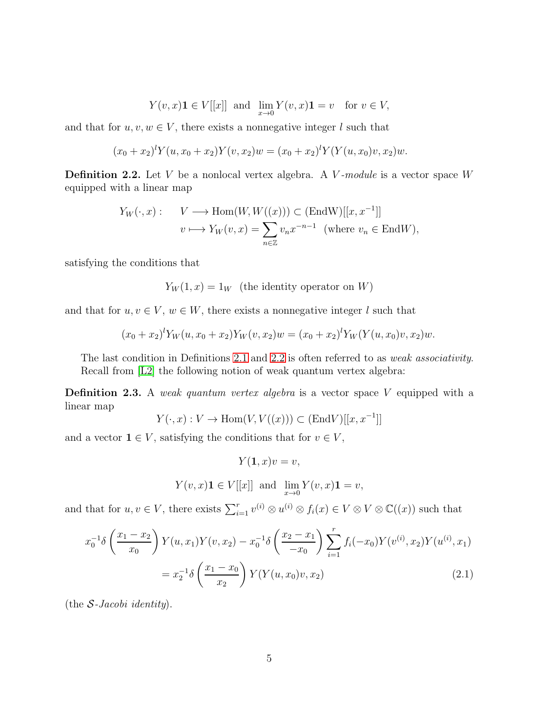$$
Y(v,x)\mathbf{1} \in V[[x]] \text{ and } \lim_{x \to 0} Y(v,x)\mathbf{1} = v \text{ for } v \in V,
$$

and that for  $u, v, w \in V$ , there exists a nonnegative integer l such that

$$
(x_0 + x_2)^l Y(u, x_0 + x_2) Y(v, x_2) w = (x_0 + x_2)^l Y(Y(u, x_0)v, x_2) w.
$$

<span id="page-4-0"></span>**Definition 2.2.** Let V be a nonlocal vertex algebra. A V-module is a vector space  $W$ equipped with a linear map

$$
Y_W(\cdot, x) : \quad V \longrightarrow \text{Hom}(W, W((x))) \subset (\text{End} W)[[x, x^{-1}]]
$$

$$
v \longmapsto Y_W(v, x) = \sum_{n \in \mathbb{Z}} v_n x^{-n-1} \text{ (where } v_n \in \text{End}W),
$$

satisfying the conditions that

 $Y_W(1, x) = 1_W$  (the identity operator on W)

and that for  $u, v \in V$ ,  $w \in W$ , there exists a nonnegative integer l such that

$$
(x_0 + x_2)^l Y_W(u, x_0 + x_2) Y_W(v, x_2) w = (x_0 + x_2)^l Y_W(Y(u, x_0)v, x_2) w.
$$

The last condition in Definitions [2.1](#page-3-0) and [2.2](#page-4-0) is often referred to as *weak associativity*. Recall from [\[L2\]](#page-31-2) the following notion of weak quantum vertex algebra:

**Definition 2.3.** A weak quantum vertex algebra is a vector space  $V$  equipped with a linear map

 $Y(\cdot, x): V \to \text{Hom}(V, V((x))) \subset (\text{End}V)[[x, x^{-1}]]$ 

and a vector  $\mathbf{1} \in V$ , satisfying the conditions that for  $v \in V$ ,

 $Y(1, x)v = v$ ,

 $Y(v, x) \mathbf{1} \in V[[x]]$  and  $\lim_{x \to 0} Y(v, x) \mathbf{1} = v$ ,

and that for  $u, v \in V$ , there exists  $\sum_{i=1}^{r} v^{(i)} \otimes u^{(i)} \otimes f_i(x) \in V \otimes V \otimes \mathbb{C}((x))$  such that

<span id="page-4-1"></span>
$$
x_0^{-1}\delta\left(\frac{x_1 - x_2}{x_0}\right)Y(u, x_1)Y(v, x_2) - x_0^{-1}\delta\left(\frac{x_2 - x_1}{-x_0}\right) \sum_{i=1}^r f_i(-x_0)Y(v^{(i)}, x_2)Y(u^{(i)}, x_1)
$$

$$
= x_2^{-1}\delta\left(\frac{x_1 - x_0}{x_2}\right)Y(Y(u, x_0)v, x_2)
$$
(2.1)

(the  $S$ -Jacobi identity).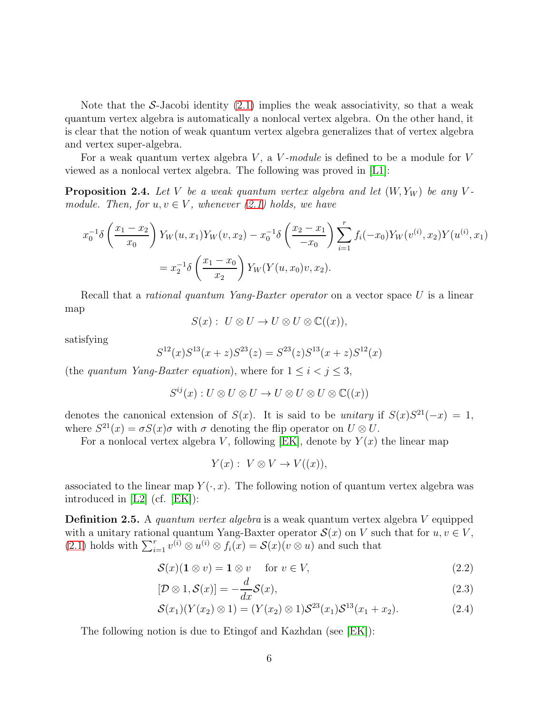Note that the S-Jacobi identity  $(2.1)$  implies the weak associativity, so that a weak quantum vertex algebra is automatically a nonlocal vertex algebra. On the other hand, it is clear that the notion of weak quantum vertex algebra generalizes that of vertex algebra and vertex super-algebra.

For a weak quantum vertex algebra  $V$ , a  $V$ -module is defined to be a module for  $V$ viewed as a nonlocal vertex algebra. The following was proved in [\[L1\]](#page-31-10):

**Proposition 2.4.** Let V be a weak quantum vertex algebra and let  $(W, Y_W)$  be any Vmodule. Then, for  $u, v \in V$ , whenever [\(2.1\)](#page-4-1) holds, we have

$$
x_0^{-1}\delta\left(\frac{x_1 - x_2}{x_0}\right)Y_W(u, x_1)Y_W(v, x_2) - x_0^{-1}\delta\left(\frac{x_2 - x_1}{-x_0}\right) \sum_{i=1}^r f_i(-x_0)Y_W(v^{(i)}, x_2)Y(u^{(i)}, x_1)
$$
  
=  $x_2^{-1}\delta\left(\frac{x_1 - x_0}{x_2}\right)Y_W(Y(u, x_0)v, x_2).$ 

Recall that a *rational quantum Yang-Baxter operator* on a vector space U is a linear map

$$
S(x): U \otimes U \to U \otimes U \otimes \mathbb{C}((x)),
$$

satisfying

$$
S^{12}(x)S^{13}(x+z)S^{23}(z) = S^{23}(z)S^{13}(x+z)S^{12}(x)
$$

(the quantum Yang-Baxter equation), where for  $1 \leq i < j \leq 3$ ,

$$
S^{ij}(x): U \otimes U \otimes U \to U \otimes U \otimes U \otimes \mathbb{C}((x))
$$

denotes the canonical extension of  $S(x)$ . It is said to be unitary if  $S(x)S^{21}(-x) = 1$ , where  $S^{21}(x) = \sigma S(x)\sigma$  with  $\sigma$  denoting the flip operator on  $U \otimes U$ .

For a nonlocal vertex algebra V, following [\[EK\]](#page-31-5), denote by  $Y(x)$  the linear map

$$
Y(x): V \otimes V \to V((x)),
$$

associated to the linear map  $Y(\cdot, x)$ . The following notion of quantum vertex algebra was introduced in [\[L2\]](#page-31-2) (cf. [\[EK\]](#page-31-5)):

**Definition 2.5.** A quantum vertex algebra is a weak quantum vertex algebra V equipped with a unitary rational quantum Yang-Baxter operator  $\mathcal{S}(x)$  on V such that for  $u, v \in V$ , [\(2.1\)](#page-4-1) holds with  $\sum_{i=1}^r v^{(i)} \otimes u^{(i)} \otimes f_i(x) = \mathcal{S}(x)(v \otimes u)$  and such that

$$
S(x)(1 \otimes v) = 1 \otimes v \quad \text{for } v \in V,
$$
\n(2.2)

$$
[\mathcal{D}\otimes 1, \mathcal{S}(x)] = -\frac{d}{dx}\mathcal{S}(x),\tag{2.3}
$$

$$
\mathcal{S}(x_1)(Y(x_2) \otimes 1) = (Y(x_2) \otimes 1)\mathcal{S}^{23}(x_1)\mathcal{S}^{13}(x_1 + x_2). \tag{2.4}
$$

The following notion is due to Etingof and Kazhdan (see [\[EK\]](#page-31-5)):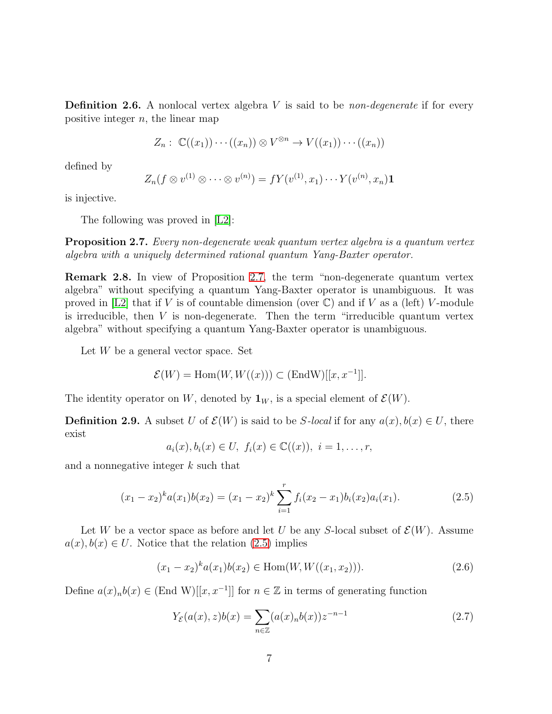**Definition 2.6.** A nonlocal vertex algebra  $V$  is said to be *non-degenerate* if for every positive integer  $n$ , the linear map

$$
Z_n: \ \mathbb{C}((x_1))\cdots((x_n))\otimes V^{\otimes n}\to V((x_1))\cdots((x_n))
$$

defined by

$$
Z_n(f \otimes v^{(1)} \otimes \cdots \otimes v^{(n)}) = fY(v^{(1)}, x_1) \cdots Y(v^{(n)}, x_n) \mathbf{1}
$$

is injective.

The following was proved in [\[L2\]](#page-31-2):

<span id="page-6-0"></span>Proposition 2.7. Every non-degenerate weak quantum vertex algebra is a quantum vertex algebra with a uniquely determined rational quantum Yang-Baxter operator.

Remark 2.8. In view of Proposition [2.7,](#page-6-0) the term "non-degenerate quantum vertex algebra" without specifying a quantum Yang-Baxter operator is unambiguous. It was proved in [\[L2\]](#page-31-2) that if V is of countable dimension (over  $\mathbb{C}$ ) and if V as a (left) V-module is irreducible, then  $V$  is non-degenerate. Then the term "irreducible quantum vertex algebra" without specifying a quantum Yang-Baxter operator is unambiguous.

Let  $W$  be a general vector space. Set

$$
\mathcal{E}(W) = \text{Hom}(W, W((x))) \subset (\text{End} W)[[x, x^{-1}]].
$$

The identity operator on W, denoted by  $\mathbf{1}_W$ , is a special element of  $\mathcal{E}(W)$ .

**Definition 2.9.** A subset U of  $\mathcal{E}(W)$  is said to be S-local if for any  $a(x), b(x) \in U$ , there exist

$$
a_i(x), b_i(x) \in U, f_i(x) \in \mathbb{C}((x)), i = 1, ..., r,
$$

and a nonnegative integer k such that

<span id="page-6-1"></span>
$$
(x_1 - x_2)^{k} a(x_1) b(x_2) = (x_1 - x_2)^{k} \sum_{i=1}^{r} f_i(x_2 - x_1) b_i(x_2) a_i(x_1).
$$
 (2.5)

Let W be a vector space as before and let U be any S-local subset of  $\mathcal{E}(W)$ . Assume  $a(x), b(x) \in U$ . Notice that the relation [\(2.5\)](#page-6-1) implies

<span id="page-6-2"></span>
$$
(x_1 - x_2)^{k} a(x_1) b(x_2) \in \text{Hom}(W, W((x_1, x_2))).
$$
\n(2.6)

Define  $a(x)_n b(x) \in (End \text{ } W)[[x, x^{-1}]]$  for  $n \in \mathbb{Z}$  in terms of generating function

$$
Y_{\mathcal{E}}(a(x), z)b(x) = \sum_{n \in \mathbb{Z}} (a(x)_n b(x)) z^{-n-1}
$$
 (2.7)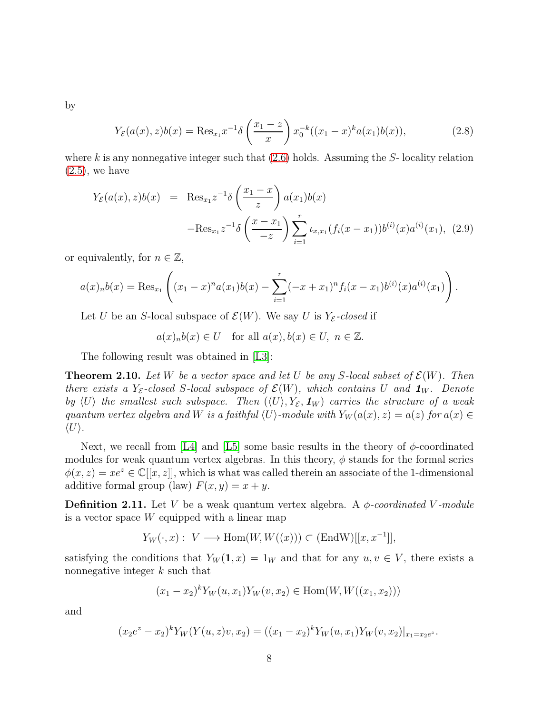by

$$
Y_{\mathcal{E}}(a(x), z)b(x) = \text{Res}_{x_1} x^{-1} \delta\left(\frac{x_1 - z}{x}\right) x_0^{-k} ((x_1 - x)^k a(x_1)b(x)),\tag{2.8}
$$

where k is any nonnegative integer such that  $(2.6)$  holds. Assuming the S- locality relation  $(2.5)$ , we have

$$
Y_{\mathcal{E}}(a(x), z)b(x) = \text{Res}_{x_1} z^{-1} \delta\left(\frac{x_1 - x}{z}\right) a(x_1)b(x)
$$

$$
-\text{Res}_{x_1} z^{-1} \delta\left(\frac{x - x_1}{-z}\right) \sum_{i=1}^r \iota_{x, x_1}(f_i(x - x_1))b^{(i)}(x) a^{(i)}(x_1), (2.9)
$$

or equivalently, for  $n \in \mathbb{Z}$ ,

$$
a(x)_n b(x) = \text{Res}_{x_1} \left( (x_1 - x)^n a(x_1) b(x) - \sum_{i=1}^r (-x + x_1)^n f_i(x - x_1) b^{(i)}(x) a^{(i)}(x_1) \right).
$$

Let U be an S-local subspace of  $\mathcal{E}(W)$ . We say U is  $Y_{\mathcal{E}}$ -closed if

 $a(x)_n b(x) \in U$  for all  $a(x), b(x) \in U$ ,  $n \in \mathbb{Z}$ .

The following result was obtained in [\[L3\]](#page-31-7):

**Theorem 2.10.** Let W be a vector space and let U be any S-local subset of  $\mathcal{E}(W)$ . Then there exists a Y<sub>E</sub>-closed S-local subspace of  $\mathcal{E}(W)$ , which contains U and  $\mathbf{1}_W$ . Denote by  $\langle U \rangle$  the smallest such subspace. Then  $(\langle U \rangle, Y_{\mathcal{E}}, \mathbf{1}_W)$  carries the structure of a weak quantum vertex algebra and W is a faithful  $\langle U \rangle$ -module with  $Y_W(a(x), z) = a(z)$  for  $a(x) \in$  $\langle U \rangle$ .

Next, we recall from [\[L4\]](#page-31-3) and [\[L5\]](#page-31-8) some basic results in the theory of  $\phi$ -coordinated modules for weak quantum vertex algebras. In this theory,  $\phi$  stands for the formal series  $\phi(x, z) = xe^z \in \mathbb{C}[[x, z]]$ , which is what was called therein an associate of the 1-dimensional additive formal group (law)  $F(x, y) = x + y$ .

**Definition 2.11.** Let V be a weak quantum vertex algebra. A  $\phi$ -coordinated V-module is a vector space  $W$  equipped with a linear map

$$
Y_W(\cdot, x): V \longrightarrow \text{Hom}(W, W((x))) \subset (\text{End} W)[[x, x^{-1}]],
$$

satisfying the conditions that  $Y_W(1, x) = 1_W$  and that for any  $u, v \in V$ , there exists a nonnegative integer k such that

$$
(x_1 - x_2)^k Y_W(u, x_1) Y_W(v, x_2) \in \text{Hom}(W, W((x_1, x_2)))
$$

and

$$
(x_2e^z - x_2)^k Y_W(Y(u, z)v, x_2) = ((x_1 - x_2)^k Y_W(u, x_1)Y_W(v, x_2)|_{x_1 = x_2e^z}.
$$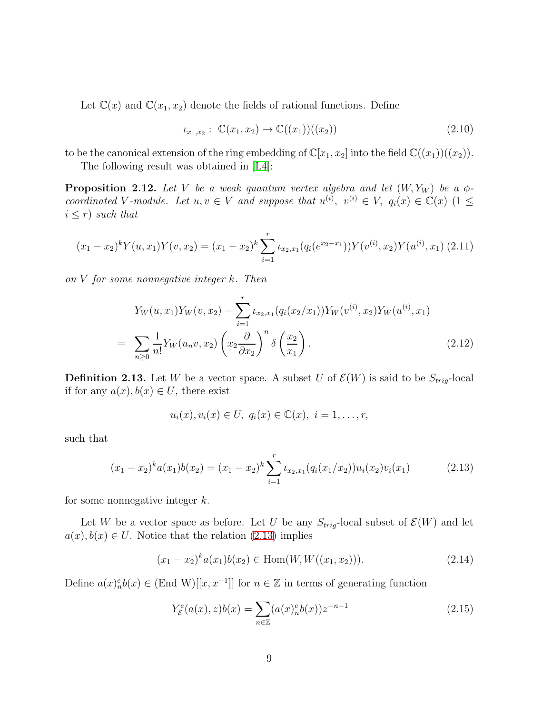Let  $\mathbb{C}(x)$  and  $\mathbb{C}(x_1, x_2)$  denote the fields of rational functions. Define

$$
\iota_{x_1,x_2}: \ \mathbb{C}(x_1,x_2) \to \mathbb{C}((x_1))((x_2)) \tag{2.10}
$$

to be the canonical extension of the ring embedding of  $\mathbb{C}[x_1, x_2]$  into the field  $\mathbb{C}((x_1))((x_2))$ .

The following result was obtained in [\[L4\]](#page-31-3):

**Proposition 2.12.** Let V be a weak quantum vertex algebra and let  $(W, Y_W)$  be a  $\phi$ coordinated V-module. Let  $u, v \in V$  and suppose that  $u^{(i)}$ ,  $v^{(i)} \in V$ ,  $q_i(x) \in \mathbb{C}(x)$   $(1 \leq$  $i \leq r$ ) such that

$$
(x_1 - x_2)^k Y(u, x_1) Y(v, x_2) = (x_1 - x_2)^k \sum_{i=1}^r \iota_{x_2, x_1}(q_i(e^{x_2 - x_1})) Y(v^{(i)}, x_2) Y(u^{(i)}, x_1) (2.11)
$$

on V for some nonnegative integer k. Then

$$
Y_W(u, x_1)Y_W(v, x_2) - \sum_{i=1}^r \iota_{x_2, x_1}(q_i(x_2/x_1))Y_W(v^{(i)}, x_2)Y_W(u^{(i)}, x_1)
$$
  
= 
$$
\sum_{n\geq 0} \frac{1}{n!} Y_W(u_n v, x_2) \left(x_2 \frac{\partial}{\partial x_2}\right)^n \delta\left(\frac{x_2}{x_1}\right).
$$
 (2.12)

**Definition 2.13.** Let W be a vector space. A subset U of  $\mathcal{E}(W)$  is said to be  $S_{trig}$ -local if for any  $a(x), b(x) \in U$ , there exist

$$
u_i(x), v_i(x) \in U, q_i(x) \in \mathbb{C}(x), i = 1, \ldots, r,
$$

such that

<span id="page-8-0"></span>
$$
(x_1 - x_2)^{k} a(x_1) b(x_2) = (x_1 - x_2)^{k} \sum_{i=1}^{r} \iota_{x_2, x_1}(q_i(x_1/x_2)) u_i(x_2) v_i(x_1)
$$
 (2.13)

for some nonnegative integer  $k$ .

Let W be a vector space as before. Let U be any  $S_{trig}$ -local subset of  $\mathcal{E}(W)$  and let  $a(x), b(x) \in U$ . Notice that the relation [\(2.13\)](#page-8-0) implies

<span id="page-8-1"></span>
$$
(x_1 - x_2)^{k} a(x_1) b(x_2) \in \text{Hom}(W, W((x_1, x_2))). \tag{2.14}
$$

Define  $a(x)_n^e b(x) \in (End W)[[x, x^{-1}]]$  for  $n \in \mathbb{Z}$  in terms of generating function

$$
Y_{\mathcal{E}}^{e}(a(x), z)b(x) = \sum_{n \in \mathbb{Z}} (a(x)_{n}^{e}b(x))z^{-n-1}
$$
\n(2.15)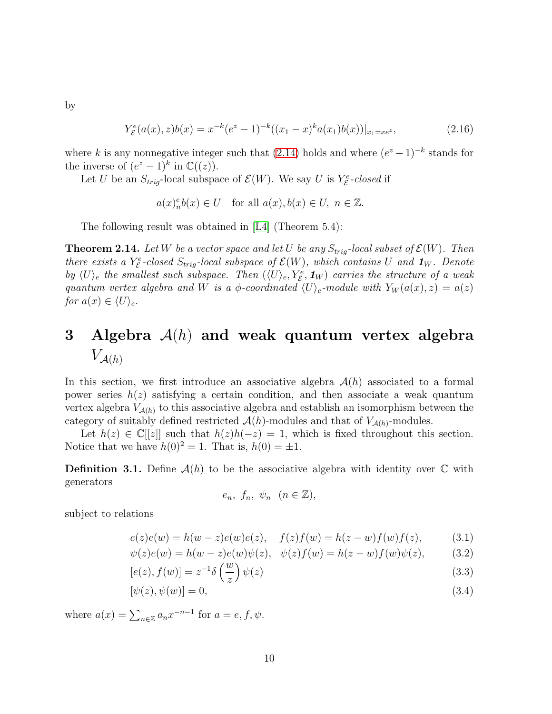by

$$
Y_{\mathcal{E}}^{e}(a(x),z)b(x) = x^{-k}(e^{z} - 1)^{-k}((x_{1} - x)^{k}a(x_{1})b(x))|_{x_{1} = xe^{z}},
$$
\n(2.16)

where k is any nonnegative integer such that  $(2.14)$  holds and where  $(e^z - 1)^{-k}$  stands for the inverse of  $(e^z - 1)^k$  in  $\mathbb{C}((z))$ .

Let U be an  $S_{trig}$ -local subspace of  $\mathcal{E}(W)$ . We say U is  $Y^e_{\mathcal{E}}$ -closed if

$$
a(x)_n^e b(x) \in U \quad \text{for all } a(x), b(x) \in U, \ n \in \mathbb{Z}.
$$

The following result was obtained in [\[L4\]](#page-31-3) (Theorem 5.4):

<span id="page-9-1"></span>**Theorem 2.14.** Let W be a vector space and let U be any  $S_{trig}$ -local subset of  $\mathcal{E}(W)$ . Then there exists a Y<sub>E</sub>-closed  $S_{trig}$ -local subspace of  $\mathcal{E}(W)$ , which contains U and  $\mathbf{1}_W$ . Denote by  $\langle U \rangle_e$  the smallest such subspace. Then  $(\langle U \rangle_e, Y_e^e, \mathbf{1}_W)$  carries the structure of a weak quantum vertex algebra and W is a  $\phi$ -coordinated  $\langle U \rangle_e$ -module with  $Y_W(a(x), z) = a(z)$ for  $a(x) \in \langle U \rangle_e$ .

## 3 Algebra  $A(h)$  and weak quantum vertex algebra  $V_{\mathcal{A}(h)}$

In this section, we first introduce an associative algebra  $\mathcal{A}(h)$  associated to a formal power series  $h(z)$  satisfying a certain condition, and then associate a weak quantum vertex algebra  $V_{\mathcal{A}(h)}$  to this associative algebra and establish an isomorphism between the category of suitably defined restricted  $\mathcal{A}(h)$ -modules and that of  $V_{\mathcal{A}(h)}$ -modules.

Let  $h(z) \in \mathbb{C}[[z]]$  such that  $h(z)h(-z) = 1$ , which is fixed throughout this section. Notice that we have  $h(0)^2 = 1$ . That is,  $h(0) = \pm 1$ .

**Definition 3.1.** Define  $\mathcal{A}(h)$  to be the associative algebra with identity over  $\mathbb C$  with generators

$$
e_n, f_n, \psi_n \ (n \in \mathbb{Z}),
$$

subject to relations

<span id="page-9-0"></span>
$$
e(z)e(w) = h(w - z)e(w)e(z), \quad f(z)f(w) = h(z - w)f(w)f(z), \tag{3.1}
$$

$$
\psi(z)e(w) = h(w - z)e(w)\psi(z), \quad \psi(z)f(w) = h(z - w)f(w)\psi(z), \tag{3.2}
$$

$$
[e(z), f(w)] = z^{-1} \delta\left(\frac{w}{z}\right) \psi(z)
$$
\n(3.3)

$$
[\psi(z), \psi(w)] = 0,\tag{3.4}
$$

where  $a(x) = \sum_{n \in \mathbb{Z}} a_n x^{-n-1}$  for  $a = e, f, \psi$ .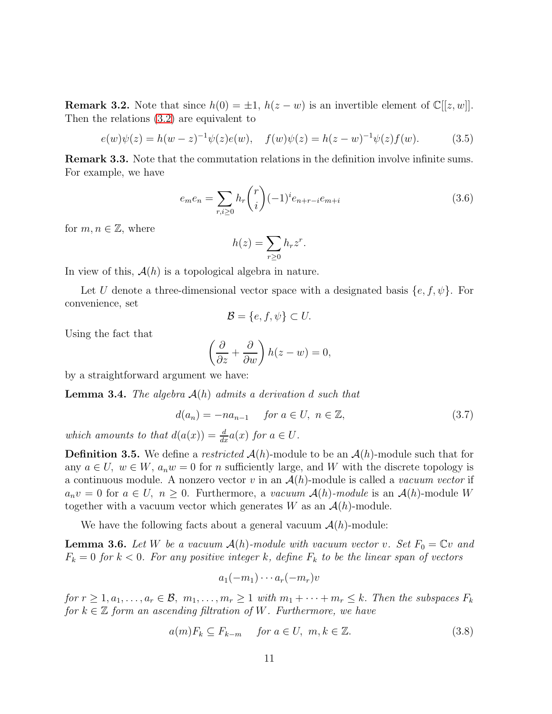<span id="page-10-1"></span>**Remark 3.2.** Note that since  $h(0) = \pm 1$ ,  $h(z - w)$  is an invertible element of  $\mathbb{C}[[z, w]]$ . Then the relations [\(3.2\)](#page-9-0) are equivalent to

$$
e(w)\psi(z) = h(w-z)^{-1}\psi(z)e(w), \quad f(w)\psi(z) = h(z-w)^{-1}\psi(z)f(w).
$$
 (3.5)

Remark 3.3. Note that the commutation relations in the definition involve infinite sums. For example, we have

$$
e_{m}e_{n} = \sum_{r,i \ge 0} h_{r} \binom{r}{i} (-1)^{i} e_{n+r-i} e_{m+i}
$$
\n(3.6)

for  $m, n \in \mathbb{Z}$ , where

$$
h(z) = \sum_{r \ge 0} h_r z^r.
$$

In view of this,  $A(h)$  is a topological algebra in nature.

Let U denote a three-dimensional vector space with a designated basis  ${e, f, \psi}$ . For convenience, set

$$
\mathcal{B} = \{e, f, \psi\} \subset U.
$$

Using the fact that

$$
\left(\frac{\partial}{\partial z} + \frac{\partial}{\partial w}\right) h(z - w) = 0,
$$

by a straightforward argument we have:

**Lemma 3.4.** The algebra  $A(h)$  admits a derivation d such that

$$
d(a_n) = -na_{n-1} \quad \text{for } a \in U, \ n \in \mathbb{Z}, \tag{3.7}
$$

which amounts to that  $d(a(x)) = \frac{d}{dx}a(x)$  for  $a \in U$ .

**Definition 3.5.** We define a restricted  $\mathcal{A}(h)$ -module to be an  $\mathcal{A}(h)$ -module such that for any  $a \in U$ ,  $w \in W$ ,  $a_n w = 0$  for n sufficiently large, and W with the discrete topology is a continuous module. A nonzero vector v in an  $\mathcal{A}(h)$ -module is called a vacuum vector if  $a_n v = 0$  for  $a \in U$ ,  $n \geq 0$ . Furthermore, a vacuum  $\mathcal{A}(h)$ -module is an  $\mathcal{A}(h)$ -module W together with a vacuum vector which generates W as an  $\mathcal{A}(h)$ -module.

We have the following facts about a general vacuum  $\mathcal{A}(h)$ -module:

<span id="page-10-2"></span>**Lemma 3.6.** Let W be a vacuum  $\mathcal{A}(h)$ -module with vacuum vector v. Set  $F_0 = \mathbb{C}v$  and  $F_k = 0$  for  $k < 0$ . For any positive integer k, define  $F_k$  to be the linear span of vectors

$$
a_1(-m_1)\cdots a_r(-m_r)v
$$

for  $r \geq 1, a_1, \ldots, a_r \in \mathcal{B}, m_1, \ldots, m_r \geq 1$  with  $m_1 + \cdots + m_r \leq k$ . Then the subspaces  $F_k$ for  $k \in \mathbb{Z}$  form an ascending filtration of W. Furthermore, we have

<span id="page-10-0"></span>
$$
a(m)F_k \subseteq F_{k-m} \quad \text{for } a \in U, \ m, k \in \mathbb{Z}.
$$
 (3.8)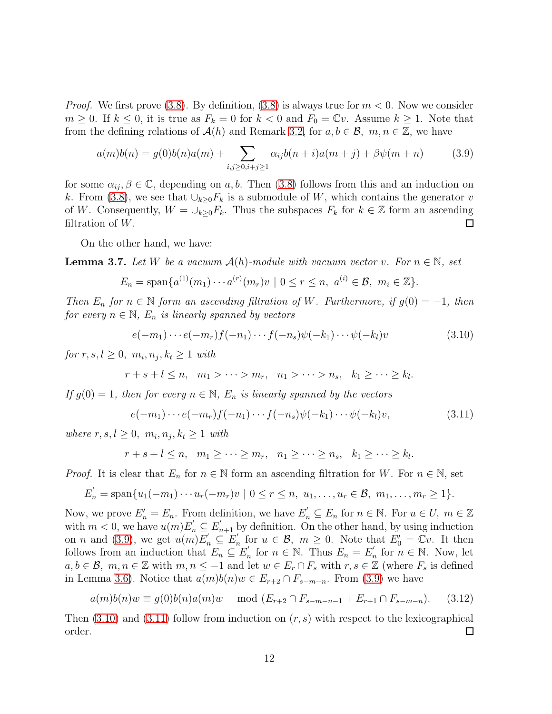*Proof.* We first prove [\(3.8\)](#page-10-0). By definition, (3.8) is always true for  $m < 0$ . Now we consider  $m \geq 0$ . If  $k \leq 0$ , it is true as  $F_k = 0$  for  $k < 0$  and  $F_0 = \mathbb{C}v$ . Assume  $k \geq 1$ . Note that from the defining relations of  $\mathcal{A}(h)$  and Remark [3.2,](#page-10-1) for  $a, b \in \mathcal{B}$ ,  $m, n \in \mathbb{Z}$ , we have

<span id="page-11-0"></span>
$$
a(m)b(n) = g(0)b(n)a(m) + \sum_{i,j \ge 0, i+j \ge 1} \alpha_{ij}b(n+i)a(m+j) + \beta\psi(m+n)
$$
(3.9)

for some  $\alpha_{ii}, \beta \in \mathbb{C}$ , depending on a, b. Then [\(3.8\)](#page-10-0) follows from this and an induction on k. From [\(3.8\)](#page-10-0), we see that  $\bigcup_{k>0} F_k$  is a submodule of W, which contains the generator v of W. Consequently,  $W = \bigcup_{k \geq 0} F_k$ . Thus the subspaces  $F_k$  for  $k \in \mathbb{Z}$  form an ascending filtration of  $W$ .  $\Box$ 

On the other hand, we have:

<span id="page-11-3"></span>**Lemma 3.7.** Let W be a vacuum  $\mathcal{A}(h)$ -module with vacuum vector v. For  $n \in \mathbb{N}$ , set

$$
E_n = \text{span}\{a^{(1)}(m_1)\cdots a^{(r)}(m_r)v \mid 0 \le r \le n, \ a^{(i)} \in \mathcal{B}, \ m_i \in \mathbb{Z}\}.
$$

Then  $E_n$  for  $n \in \mathbb{N}$  form an ascending filtration of W. Furthermore, if  $g(0) = -1$ , then for every  $n \in \mathbb{N}$ ,  $E_n$  is linearly spanned by vectors

<span id="page-11-1"></span>
$$
e(-m_1)\cdots e(-m_r)f(-n_1)\cdots f(-n_s)\psi(-k_1)\cdots\psi(-k_l)v\tag{3.10}
$$

for  $r, s, l \geq 0, m_i, n_j, k_t \geq 1$  with

$$
r+s+l\leq n,\quad m_1>\cdots>m_r,\quad n_1>\cdots>n_s,\quad k_1\geq\cdots\geq k_l.
$$

If  $g(0) = 1$ , then for every  $n \in \mathbb{N}$ ,  $E_n$  is linearly spanned by the vectors

<span id="page-11-2"></span>
$$
e(-m_1)\cdots e(-m_r)f(-n_1)\cdots f(-n_s)\psi(-k_1)\cdots\psi(-k_l)v,
$$
\n(3.11)

where  $r, s, l \geq 0, m_i, n_j, k_t \geq 1$  with

$$
r+s+l\leq n, \quad m_1\geq\cdots\geq m_r, \quad n_1\geq\cdots\geq n_s, \quad k_1\geq\cdots\geq k_l.
$$

*Proof.* It is clear that  $E_n$  for  $n \in \mathbb{N}$  form an ascending filtration for W. For  $n \in \mathbb{N}$ , set

$$
E'_{n} = \text{span}\{u_{1}(-m_{1})\cdots u_{r}(-m_{r})v \mid 0 \leq r \leq n, u_{1},\ldots,u_{r} \in \mathcal{B}, m_{1},\ldots,m_{r} \geq 1\}.
$$

Now, we prove  $E'_n = E_n$ . From definition, we have  $E'_n \subseteq E_n$  for  $n \in \mathbb{N}$ . For  $u \in U$ ,  $m \in \mathbb{Z}$ with  $m < 0$ , we have  $u(m) E'_n \subseteq E'_{n+1}$  by definition. On the other hand, by using induction on *n* and [\(3.9\)](#page-11-0), we get  $u(m)E'_n \subseteq E'_n$  $n'_{n}$  for  $u \in \mathcal{B}$ ,  $m \geq 0$ . Note that  $E'_{0} = \mathbb{C}v$ . It then follows from an induction that  $E_n \subseteq E'_n$  $E'_n$  for  $n \in \mathbb{N}$ . Thus  $E_n = E'_n$  $'_{n}$  for  $n \in \mathbb{N}$ . Now, let  $a, b \in \mathcal{B}, m, n \in \mathbb{Z}$  with  $m, n \leq -1$  and let  $w \in E_r \cap F_s$  with  $r, s \in \mathbb{Z}$  (where  $F_s$  is defined in Lemma [3.6\)](#page-10-2). Notice that  $a(m)b(n)w \in E_{r+2} \cap F_{s-m-n}$ . From [\(3.9\)](#page-11-0) we have

$$
a(m)b(n)w \equiv g(0)b(n)a(m)w \mod (E_{r+2} \cap F_{s-m-n-1} + E_{r+1} \cap F_{s-m-n}). \tag{3.12}
$$

Then  $(3.10)$  and  $(3.11)$  follow from induction on  $(r, s)$  with respect to the lexicographical order. 囗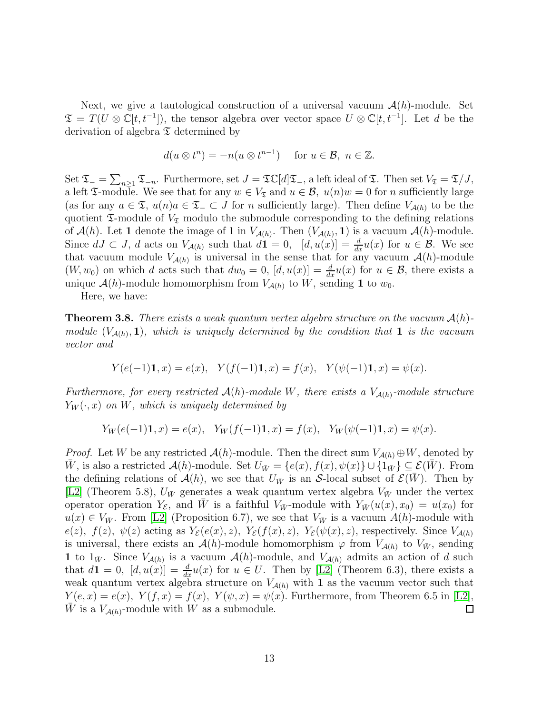Next, we give a tautological construction of a universal vacuum  $\mathcal{A}(h)$ -module. Set  $\mathfrak{T} = T(U \otimes \mathbb{C}[t, t^{-1}])$ , the tensor algebra over vector space  $U \otimes \mathbb{C}[t, t^{-1}]$ . Let d be the derivation of algebra  $\mathfrak T$  determined by

$$
d(u \otimes t^n) = -n(u \otimes t^{n-1}) \quad \text{ for } u \in \mathcal{B}, n \in \mathbb{Z}.
$$

Set  $\mathfrak{T}_{-} = \sum_{n \geq 1} \mathfrak{T}_{-n}$ . Furthermore, set  $J = \mathfrak{T} \mathbb{C}[d] \mathfrak{T}_{-}$ , a left ideal of  $\mathfrak{T}$ . Then set  $V_{\mathfrak{T}} = \mathfrak{T}/J$ , a left  $\mathfrak{I}\text{-module}$ . We see that for any  $w \in V_{\mathfrak{I}}$  and  $u \in \mathcal{B}$ ,  $u(n)w = 0$  for n sufficiently large (as for any  $a \in \mathfrak{T}$ ,  $u(n)a \in \mathfrak{T}$  =  $\subset J$  for n sufficiently large). Then define  $V_{\mathcal{A}(h)}$  to be the quotient  $\mathfrak T$ -module of  $V_{\mathfrak T}$  modulo the submodule corresponding to the defining relations of  $\mathcal{A}(h)$ . Let 1 denote the image of 1 in  $V_{\mathcal{A}(h)}$ . Then  $(V_{\mathcal{A}(h)}, 1)$  is a vacuum  $\mathcal{A}(h)$ -module. Since  $dJ \subset J$ , d acts on  $V_{\mathcal{A}(h)}$  such that  $d\mathbf{1} = 0$ ,  $[d, u(x)] = \frac{d}{dx}u(x)$  for  $u \in \mathcal{B}$ . We see that vacuum module  $V_{\mathcal{A}(h)}$  is universal in the sense that for any vacuum  $\mathcal{A}(h)$ -module  $(W, w_0)$  on which d acts such that  $dw_0 = 0$ ,  $[d, u(x)] = \frac{d}{dx}u(x)$  for  $u \in \mathcal{B}$ , there exists a unique  $\mathcal{A}(h)$ -module homomorphism from  $V_{\mathcal{A}(h)}$  to W, sending 1 to  $w_0$ .

Here, we have:

**Theorem 3.8.** There exists a weak quantum vertex algebra structure on the vacuum  $\mathcal{A}(h)$ module  $(V_{A(h)}, 1)$ , which is uniquely determined by the condition that 1 is the vacuum vector and

$$
Y(e(-1)\mathbf{1},x) = e(x), \quad Y(f(-1)\mathbf{1},x) = f(x), \quad Y(\psi(-1)\mathbf{1},x) = \psi(x).
$$

Furthermore, for every restricted  $\mathcal{A}(h)$ -module W, there exists a  $V_{\mathcal{A}(h)}$ -module structure  $Y_W(\cdot, x)$  on W, which is uniquely determined by

$$
Y_W(e(-1)\mathbf{1},x) = e(x), \quad Y_W(f(-1)\mathbf{1},x) = f(x), \quad Y_W(\psi(-1)\mathbf{1},x) = \psi(x).
$$

*Proof.* Let W be any restricted  $\mathcal{A}(h)$ -module. Then the direct sum  $V_{\mathcal{A}(h)} \oplus W$ , denoted by  $\overline{W}$ , is also a restricted  $\mathcal{A}(h)$ -module. Set  $U_{\overline{W}} = \{e(x), f(x), \psi(x)\} \cup \{1_{\overline{W}}\} \subseteq \mathcal{E}(W)$ . From the defining relations of  $\mathcal{A}(h)$ , we see that  $U_{\bar{W}}$  is an S-local subset of  $\mathcal{E}(W)$ . Then by [\[L2\]](#page-31-2) (Theorem 5.8),  $U_{\bar{W}}$  generates a weak quantum vertex algebra  $V_{\bar{W}}$  under the vertex operator operation  $Y_{\mathcal{E}}$ , and W is a faithful  $V_{\bar{W}}$ -module with  $Y_{\bar{W}}(u(x), x_0) = u(x_0)$  for  $u(x) \in V_{\bar{W}}$ . From [\[L2\]](#page-31-2) (Proposition 6.7), we see that  $V_{\bar{W}}$  is a vacuum  $A(h)$ -module with  $e(z)$ ,  $f(z)$ ,  $\psi(z)$  acting as  $Y_{\mathcal{E}}(e(x), z)$ ,  $Y_{\mathcal{E}}(f(x), z)$ ,  $Y_{\mathcal{E}}(\psi(x), z)$ , respectively. Since  $V_{\mathcal{A}(h)}$ is universal, there exists an  $\mathcal{A}(h)$ -module homomorphism  $\varphi$  from  $V_{\mathcal{A}(h)}$  to  $V_{\bar{W}}$ , sending 1 to  $1_{\bar{W}}$ . Since  $V_{\mathcal{A}(h)}$  is a vacuum  $\mathcal{A}(h)$ -module, and  $V_{\mathcal{A}(h)}$  admits an action of d such that  $d\mathbf{1} = 0$ ,  $[d, u(x)] = \frac{d}{dx}u(x)$  for  $u \in U$ . Then by [\[L2\]](#page-31-2) (Theorem 6.3), there exists a weak quantum vertex algebra structure on  $V_{\mathcal{A}(h)}$  with 1 as the vacuum vector such that  $Y(e, x) = e(x)$ ,  $Y(f, x) = f(x)$ ,  $Y(\psi, x) = \psi(x)$ . Furthermore, from Theorem 6.5 in [\[L2\]](#page-31-2), W is a  $V_{\mathcal{A}(h)}$ -module with W as a submodule. □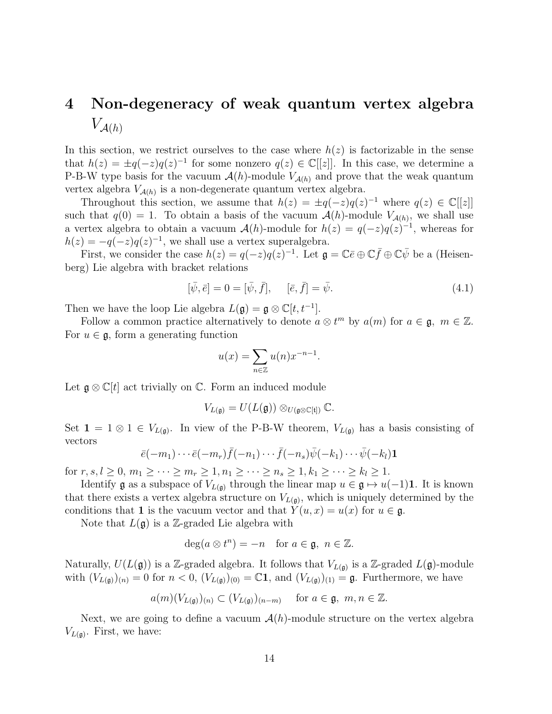### 4 Non-degeneracy of weak quantum vertex algebra  $V_{\mathcal{A}(h)}$

In this section, we restrict ourselves to the case where  $h(z)$  is factorizable in the sense that  $h(z) = \pm q(-z)q(z)^{-1}$  for some nonzero  $q(z) \in \mathbb{C}[[z]]$ . In this case, we determine a P-B-W type basis for the vacuum  $\mathcal{A}(h)$ -module  $V_{\mathcal{A}(h)}$  and prove that the weak quantum vertex algebra  $V_{\mathcal{A}(h)}$  is a non-degenerate quantum vertex algebra.

Throughout this section, we assume that  $h(z) = \pm q(-z)q(z)^{-1}$  where  $q(z) \in \mathbb{C}[[z]]$ such that  $q(0) = 1$ . To obtain a basis of the vacuum  $\mathcal{A}(h)$ -module  $V_{\mathcal{A}(h)}$ , we shall use a vertex algebra to obtain a vacuum  $\mathcal{A}(h)$ -module for  $h(z) = q(-z)q(z)^{-1}$ , whereas for  $h(z) = -q(-z)q(z)^{-1}$ , we shall use a vertex superalgebra.

First, we consider the case  $h(z) = q(-z)q(z)^{-1}$ . Let  $\mathfrak{g} = \mathbb{C}\bar{e} \oplus \mathbb{C}\bar{f} \oplus \mathbb{C}\bar{\psi}$  be a (Heisenberg) Lie algebra with bracket relations

$$
[\bar{\psi}, \bar{e}] = 0 = [\bar{\psi}, \bar{f}], \quad [\bar{e}, \bar{f}] = \bar{\psi}.
$$
\n(4.1)

Then we have the loop Lie algebra  $L(\mathfrak{g}) = \mathfrak{g} \otimes \mathbb{C}[t, t^{-1}].$ 

Follow a common practice alternatively to denote  $a \otimes t^m$  by  $a(m)$  for  $a \in \mathfrak{g}, m \in \mathbb{Z}$ . For  $u \in \mathfrak{g}$ , form a generating function

$$
u(x) = \sum_{n \in \mathbb{Z}} u(n) x^{-n-1}.
$$

Let  $\mathfrak{g} \otimes \mathbb{C}[t]$  act trivially on  $\mathbb{C}$ . Form an induced module

$$
V_{L(\mathfrak{g})}=U(L(\mathfrak{g}))\otimes_{U(\mathfrak{g}\otimes\mathbb{C}[\mathfrak{t}])}\mathbb{C}.
$$

Set  $1 = 1 \otimes 1 \in V_{L(\mathfrak{g})}$ . In view of the P-B-W theorem,  $V_{L(\mathfrak{g})}$  has a basis consisting of vectors

$$
\bar{e}(-m_1)\cdots\bar{e}(-m_r)\bar{f}(-n_1)\cdots\bar{f}(-n_s)\bar{\psi}(-k_1)\cdots\bar{\psi}(-k_l)\mathbf{1}
$$

for  $r, s, l \ge 0, m_1 \ge \cdots \ge m_r \ge 1, n_1 \ge \cdots \ge n_s \ge 1, k_1 \ge \cdots \ge k_l \ge 1.$ 

Identify  $\mathfrak g$  as a subspace of  $V_{L(\mathfrak g)}$  through the linear map  $u \in \mathfrak g \mapsto u(-1)$ 1. It is known that there exists a vertex algebra structure on  $V_{L(\mathfrak{g})}$ , which is uniquely determined by the conditions that 1 is the vacuum vector and that  $Y(u, x) = u(x)$  for  $u \in \mathfrak{g}$ .

Note that  $L(\mathfrak{g})$  is a Z-graded Lie algebra with

$$
\deg(a \otimes t^n) = -n \quad \text{for } a \in \mathfrak{g}, \ n \in \mathbb{Z}.
$$

Naturally,  $U(L(\mathfrak{g}))$  is a Z-graded algebra. It follows that  $V_{L(\mathfrak{g})}$  is a Z-graded  $L(\mathfrak{g})$ -module with  $(V_{L(\mathfrak{g})})_{(n)} = 0$  for  $n < 0$ ,  $(V_{L(\mathfrak{g})})_{(0)} = \mathbb{C}1$ , and  $(V_{L(\mathfrak{g})})_{(1)} = \mathfrak{g}$ . Furthermore, we have

$$
a(m)(V_{L(\mathfrak{g})})_{(n)} \subset (V_{L(\mathfrak{g})})_{(n-m)}
$$
 for  $a \in \mathfrak{g}, m, n \in \mathbb{Z}$ .

Next, we are going to define a vacuum  $\mathcal{A}(h)$ -module structure on the vertex algebra  $V_{L(\mathfrak{g})}$ . First, we have: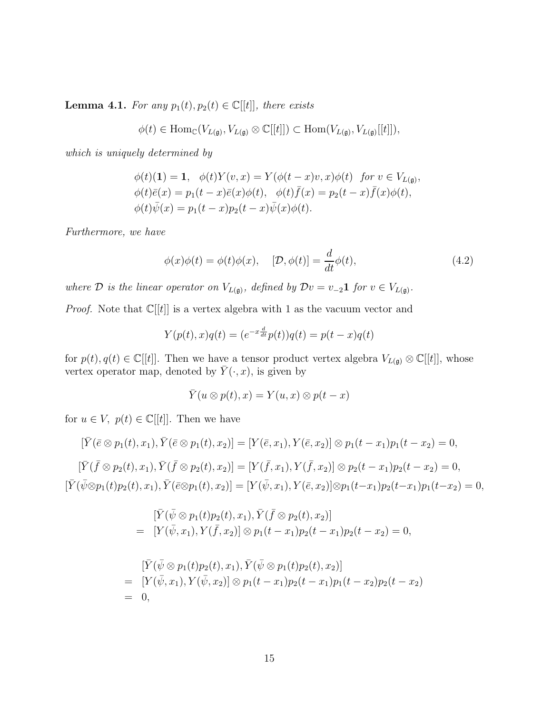<span id="page-14-0"></span>**Lemma 4.1.** For any  $p_1(t), p_2(t) \in \mathbb{C}[[t]]$ , there exists

$$
\phi(t) \in \mathrm{Hom}_{\mathbb{C}}(V_{L(\mathfrak{g})}, V_{L(\mathfrak{g})} \otimes \mathbb{C}[[t]]) \subset \mathrm{Hom}(V_{L(\mathfrak{g})}, V_{L(\mathfrak{g})}[[t]]),
$$

which is uniquely determined by

$$
\begin{aligned}\n\phi(t)(1) &= 1, \quad \phi(t)Y(v, x) = Y(\phi(t-x)v, x)\phi(t) \quad \text{for } v \in V_{L(\mathfrak{g})}, \\
\phi(t)\bar{e}(x) &= p_1(t-x)\bar{e}(x)\phi(t), \quad \phi(t)\bar{f}(x) = p_2(t-x)\bar{f}(x)\phi(t), \\
\phi(t)\bar{\psi}(x) &= p_1(t-x)p_2(t-x)\bar{\psi}(x)\phi(t).\n\end{aligned}
$$

Furthermore, we have

$$
\phi(x)\phi(t) = \phi(t)\phi(x), \quad [\mathcal{D}, \phi(t)] = \frac{d}{dt}\phi(t), \tag{4.2}
$$

where D is the linear operator on  $V_{L(\mathfrak{g})}$ , defined by  $\mathcal{D}v = v_{-2}\mathbf{1}$  for  $v \in V_{L(\mathfrak{g})}$ .

*Proof.* Note that  $\mathbb{C}[[t]]$  is a vertex algebra with 1 as the vacuum vector and

$$
Y(p(t),x)q(t) = (e^{-x\frac{d}{dt}}p(t))q(t) = p(t-x)q(t)
$$

for  $p(t), q(t) \in \mathbb{C}[[t]]$ . Then we have a tensor product vertex algebra  $V_{L(\mathfrak{g})} \otimes \mathbb{C}[[t]]$ , whose vertex operator map, denoted by  $\overline{Y}(\cdot, x)$ , is given by

$$
\overline{Y}(u \otimes p(t), x) = Y(u, x) \otimes p(t - x)
$$

for  $u \in V$ ,  $p(t) \in \mathbb{C}[[t]]$ . Then we have

$$
[\bar{Y}(\bar{e}\otimes p_1(t), x_1), \bar{Y}(\bar{e}\otimes p_1(t), x_2)] = [Y(\bar{e}, x_1), Y(\bar{e}, x_2)] \otimes p_1(t - x_1)p_1(t - x_2) = 0,
$$
  
\n
$$
[\bar{Y}(\bar{f}\otimes p_2(t), x_1), \bar{Y}(\bar{f}\otimes p_2(t), x_2)] = [Y(\bar{f}, x_1), Y(\bar{f}, x_2)] \otimes p_2(t - x_1)p_2(t - x_2) = 0,
$$
  
\n
$$
[\bar{Y}(\bar{\psi}\otimes p_1(t)p_2(t), x_1), \bar{Y}(\bar{e}\otimes p_1(t), x_2)] = [Y(\bar{\psi}, x_1), Y(\bar{e}, x_2)] \otimes p_1(t - x_1)p_2(t - x_1)p_1(t - x_2) = 0,
$$

$$
\begin{aligned} [\bar{Y}(\bar{\psi}\otimes p_1(t)p_2(t), x_1), \bar{Y}(\bar{f}\otimes p_2(t), x_2)] \\ = \ [Y(\bar{\psi}, x_1), Y(\bar{f}, x_2)] \otimes p_1(t-x_1)p_2(t-x_1)p_2(t-x_2) = 0, \end{aligned}
$$

$$
\begin{array}{ll}\n[\bar{Y}(\bar{\psi}\otimes p_1(t)p_2(t), x_1), \bar{Y}(\bar{\psi}\otimes p_1(t)p_2(t), x_2)] \\
= & [Y(\bar{\psi}, x_1), Y(\bar{\psi}, x_2)] \otimes p_1(t - x_1)p_2(t - x_1)p_1(t - x_2)p_2(t - x_2) \\
= & 0,\n\end{array}
$$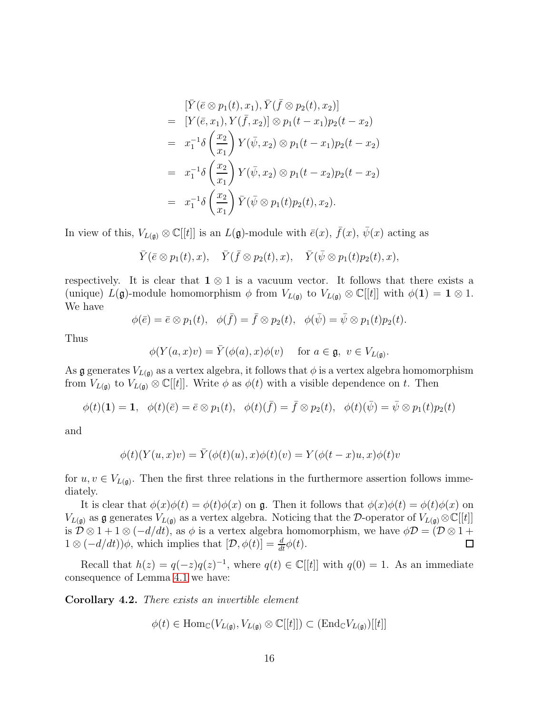$$
\begin{split}\n&[\bar{Y}(\bar{e}\otimes p_{1}(t), x_{1}), \bar{Y}(\bar{f}\otimes p_{2}(t), x_{2})] \\
&= [Y(\bar{e}, x_{1}), Y(\bar{f}, x_{2})] \otimes p_{1}(t - x_{1})p_{2}(t - x_{2}) \\
&= x_{1}^{-1}\delta\left(\frac{x_{2}}{x_{1}}\right)Y(\bar{\psi}, x_{2}) \otimes p_{1}(t - x_{1})p_{2}(t - x_{2}) \\
&= x_{1}^{-1}\delta\left(\frac{x_{2}}{x_{1}}\right)Y(\bar{\psi}, x_{2}) \otimes p_{1}(t - x_{2})p_{2}(t - x_{2}) \\
&= x_{1}^{-1}\delta\left(\frac{x_{2}}{x_{1}}\right)\bar{Y}(\bar{\psi}\otimes p_{1}(t)p_{2}(t), x_{2}).\n\end{split}
$$

In view of this,  $V_{L(\mathfrak{g})} \otimes \mathbb{C}[[t]]$  is an  $L(\mathfrak{g})$ -module with  $\bar{e}(x)$ ,  $\bar{f}(x)$ ,  $\bar{\psi}(x)$  acting as

$$
\overline{Y}(\overline{e}\otimes p_1(t),x), \quad \overline{Y}(\overline{f}\otimes p_2(t),x), \quad \overline{Y}(\overline{\psi}\otimes p_1(t)p_2(t),x),
$$

respectively. It is clear that  $1 \otimes 1$  is a vacuum vector. It follows that there exists a (unique)  $L(\mathfrak{g})$ -module homomorphism  $\phi$  from  $V_{L(\mathfrak{g})}$  to  $V_{L(\mathfrak{g})} \otimes \mathbb{C}[[t]]$  with  $\phi(1) = 1 \otimes 1$ . We have

$$
\phi(\bar{e}) = \bar{e} \otimes p_1(t), \quad \phi(\bar{f}) = \bar{f} \otimes p_2(t), \quad \phi(\bar{\psi}) = \bar{\psi} \otimes p_1(t)p_2(t).
$$

Thus

$$
\phi(Y(a,x)v) = \overline{Y}(\phi(a),x)\phi(v) \quad \text{ for } a \in \mathfrak{g}, \ v \in V_{L(\mathfrak{g})}.
$$

As g generates  $V_{L(\mathfrak{g})}$  as a vertex algebra, it follows that  $\phi$  is a vertex algebra homomorphism from  $V_{L(\mathfrak{g})}$  to  $V_{L(\mathfrak{g})} \otimes \mathbb{C}[[t]]$ . Write  $\phi$  as  $\phi(t)$  with a visible dependence on t. Then

$$
\phi(t)(\mathbf{1}) = \mathbf{1}, \quad \phi(t)(\bar{e}) = \bar{e} \otimes p_1(t), \quad \phi(t)(\bar{f}) = \bar{f} \otimes p_2(t), \quad \phi(t)(\bar{\psi}) = \bar{\psi} \otimes p_1(t)p_2(t)
$$

and

$$
\phi(t)(Y(u,x)v) = \overline{Y}(\phi(t)(u),x)\phi(t)(v) = Y(\phi(t-x)u,x)\phi(t)v
$$

for  $u, v \in V_{L(\mathfrak{g})}$ . Then the first three relations in the furthermore assertion follows immediately.

It is clear that  $\phi(x)\phi(t) = \phi(t)\phi(x)$  on g. Then it follows that  $\phi(x)\phi(t) = \phi(t)\phi(x)$  on  $V_{L(\mathfrak{g})}$  as  $\mathfrak{g}$  generates  $V_{L(\mathfrak{g})}$  as a vertex algebra. Noticing that the D-operator of  $V_{L(\mathfrak{g})}\otimes\mathbb{C}[[t]]$ is  $\mathcal{D} \otimes 1 + 1 \otimes (-d/dt)$ , as  $\phi$  is a vertex algebra homomorphism, we have  $\phi \mathcal{D} = (\mathcal{D} \otimes 1 +$  $1 \otimes (-d/dt))\phi$ , which implies that  $[\mathcal{D}, \phi(t)] = \frac{d}{dt}\phi(t)$ . ◻

Recall that  $h(z) = q(-z)q(z)^{-1}$ , where  $q(t) \in \mathbb{C}[[t]]$  with  $q(0) = 1$ . As an immediate consequence of Lemma [4.1](#page-14-0) we have:

<span id="page-15-0"></span>Corollary 4.2. There exists an invertible element

 $\phi(t) \in \text{Hom}_{\mathbb{C}}(V_{L(\mathfrak{g})}, V_{L(\mathfrak{g})} \otimes \mathbb{C}[[t]]) \subset (\text{End}_{\mathbb{C}}V_{L(\mathfrak{g})})[[t]]$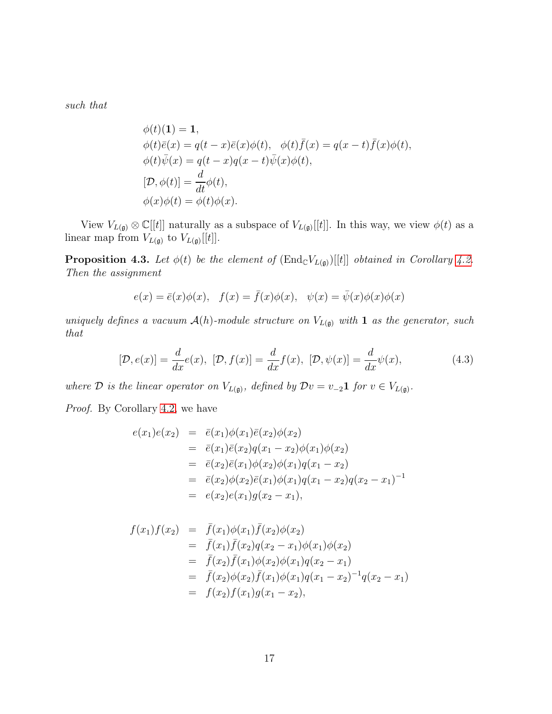such that

$$
\phi(t)(1) = 1,\n\phi(t)\bar{e}(x) = q(t-x)\bar{e}(x)\phi(t), \quad \phi(t)\bar{f}(x) = q(x-t)\bar{f}(x)\phi(t),\n\phi(t)\bar{\psi}(x) = q(t-x)q(x-t)\bar{\psi}(x)\phi(t),\n[D, \phi(t)] = \frac{d}{dt}\phi(t),\n\phi(x)\phi(t) = \phi(t)\phi(x).
$$

View  $V_{L(\mathfrak{g})} \otimes \mathbb{C}[[t]]$  naturally as a subspace of  $V_{L(\mathfrak{g})}[[t]]$ . In this way, we view  $\phi(t)$  as a linear map from  $V_{L(\mathfrak{g})}$  to  $V_{L(\mathfrak{g})}[[t]].$ 

**Proposition 4.3.** Let  $\phi(t)$  be the element of  $(End_{\mathbb{C}}V_{L(\mathfrak{g})})[[t]]$  obtained in Corollary [4.2.](#page-15-0) Then the assignment

$$
e(x) = \bar{e}(x)\phi(x), \quad f(x) = \bar{f}(x)\phi(x), \quad \psi(x) = \bar{\psi}(x)\phi(x)\phi(x)
$$

uniquely defines a vacuum  $\mathcal{A}(h)$ -module structure on  $V_{L(\mathfrak{g})}$  with 1 as the generator, such that

<span id="page-16-0"></span>
$$
[\mathcal{D}, e(x)] = \frac{d}{dx}e(x), [\mathcal{D}, f(x)] = \frac{d}{dx}f(x), [\mathcal{D}, \psi(x)] = \frac{d}{dx}\psi(x), \qquad (4.3)
$$

where D is the linear operator on  $V_{L(\mathfrak{g})}$ , defined by  $\mathcal{D}v = v_{-2}\mathbf{1}$  for  $v \in V_{L(\mathfrak{g})}$ .

Proof. By Corollary [4.2,](#page-15-0) we have

$$
e(x_1)e(x_2) = \bar{e}(x_1)\phi(x_1)\bar{e}(x_2)\phi(x_2)
$$
  
\n
$$
= \bar{e}(x_1)\bar{e}(x_2)q(x_1 - x_2)\phi(x_1)\phi(x_2)
$$
  
\n
$$
= \bar{e}(x_2)\bar{e}(x_1)\phi(x_2)\phi(x_1)q(x_1 - x_2)
$$
  
\n
$$
= \bar{e}(x_2)\phi(x_2)\bar{e}(x_1)\phi(x_1)q(x_1 - x_2)q(x_2 - x_1)^{-1}
$$
  
\n
$$
= e(x_2)e(x_1)g(x_2 - x_1),
$$

$$
f(x_1)f(x_2) = \bar{f}(x_1)\phi(x_1)\bar{f}(x_2)\phi(x_2)
$$
  
\n
$$
= \bar{f}(x_1)\bar{f}(x_2)q(x_2 - x_1)\phi(x_1)\phi(x_2)
$$
  
\n
$$
= \bar{f}(x_2)\bar{f}(x_1)\phi(x_2)\phi(x_1)q(x_2 - x_1)
$$
  
\n
$$
= \bar{f}(x_2)\phi(x_2)\bar{f}(x_1)\phi(x_1)q(x_1 - x_2)^{-1}q(x_2 - x_1)
$$
  
\n
$$
= f(x_2)f(x_1)g(x_1 - x_2),
$$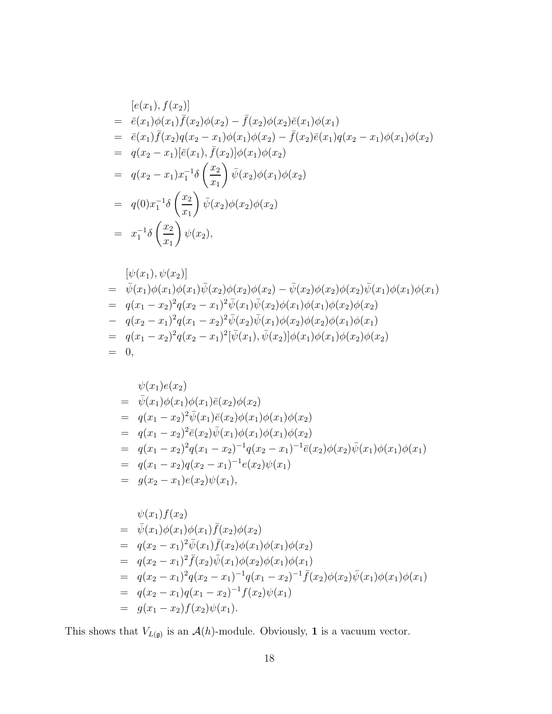$$
[e(x_1), f(x_2)]
$$
  
\n
$$
= \bar{e}(x_1)\phi(x_1)\bar{f}(x_2)\phi(x_2) - \bar{f}(x_2)\phi(x_2)\bar{e}(x_1)\phi(x_1)
$$
  
\n
$$
= \bar{e}(x_1)\bar{f}(x_2)q(x_2 - x_1)\phi(x_1)\phi(x_2) - \bar{f}(x_2)\bar{e}(x_1)q(x_2 - x_1)\phi(x_1)\phi(x_2)
$$
  
\n
$$
= q(x_2 - x_1)[\bar{e}(x_1), \bar{f}(x_2)]\phi(x_1)\phi(x_2)
$$
  
\n
$$
= q(x_2 - x_1)x_1^{-1}\delta\left(\frac{x_2}{x_1}\right)\bar{\psi}(x_2)\phi(x_1)\phi(x_2)
$$
  
\n
$$
= q(0)x_1^{-1}\delta\left(\frac{x_2}{x_1}\right)\bar{\psi}(x_2)\phi(x_2)\phi(x_2)
$$
  
\n
$$
= x_1^{-1}\delta\left(\frac{x_2}{x_1}\right)\psi(x_2),
$$

$$
\begin{aligned}\n&[\psi(x_1), \psi(x_2)] \\
&= \bar{\psi}(x_1)\phi(x_1)\bar{\psi}(x_2)\phi(x_2)\phi(x_2) - \bar{\psi}(x_2)\phi(x_2)\bar{\psi}(x_1)\phi(x_1)\phi(x_1) \\
&= q(x_1 - x_2)^2 q(x_2 - x_1)^2 \bar{\psi}(x_1)\bar{\psi}(x_2)\phi(x_1)\phi(x_1)\phi(x_2)\phi(x_2) \\
&- q(x_2 - x_1)^2 q(x_1 - x_2)^2 \bar{\psi}(x_2)\bar{\psi}(x_1)\phi(x_2)\phi(x_2)\phi(x_1)\phi(x_1) \\
&= q(x_1 - x_2)^2 q(x_2 - x_1)^2 [\bar{\psi}(x_1), \bar{\psi}(x_2)]\phi(x_1)\phi(x_1)\phi(x_2)\phi(x_2) \\
&= 0,\n\end{aligned}
$$

$$
\psi(x_1)e(x_2)
$$
\n
$$
= \bar{\psi}(x_1)\phi(x_1)\phi(x_1)\bar{e}(x_2)\phi(x_2)
$$
\n
$$
= q(x_1 - x_2)^2\bar{\psi}(x_1)\bar{e}(x_2)\phi(x_1)\phi(x_1)\phi(x_2)
$$
\n
$$
= q(x_1 - x_2)^2\bar{e}(x_2)\bar{\psi}(x_1)\phi(x_1)\phi(x_1)\phi(x_2)
$$
\n
$$
= q(x_1 - x_2)^2q(x_1 - x_2)^{-1}q(x_2 - x_1)^{-1}\bar{e}(x_2)\phi(x_2)\bar{\psi}(x_1)\phi(x_1)\phi(x_1)
$$
\n
$$
= q(x_1 - x_2)q(x_2 - x_1)^{-1}e(x_2)\psi(x_1)
$$
\n
$$
= g(x_2 - x_1)e(x_2)\psi(x_1),
$$

$$
\psi(x_1)f(x_2)
$$
\n
$$
= \bar{\psi}(x_1)\phi(x_1)\phi(x_1)\bar{f}(x_2)\phi(x_2)
$$
\n
$$
= q(x_2 - x_1)^2\bar{\psi}(x_1)\bar{f}(x_2)\phi(x_1)\phi(x_1)\phi(x_2)
$$
\n
$$
= q(x_2 - x_1)^2\bar{f}(x_2)\bar{\psi}(x_1)\phi(x_2)\phi(x_1)\phi(x_1)
$$
\n
$$
= q(x_2 - x_1)^2q(x_2 - x_1)^{-1}q(x_1 - x_2)^{-1}\bar{f}(x_2)\phi(x_2)\bar{\psi}(x_1)\phi(x_1)\phi(x_1)
$$
\n
$$
= q(x_2 - x_1)q(x_1 - x_2)^{-1}f(x_2)\psi(x_1)
$$
\n
$$
= g(x_1 - x_2)f(x_2)\psi(x_1).
$$

This shows that  $V_{L(\mathfrak{g})}$  is an  $\mathcal{A}(h)$ -module. Obviously, 1 is a vacuum vector.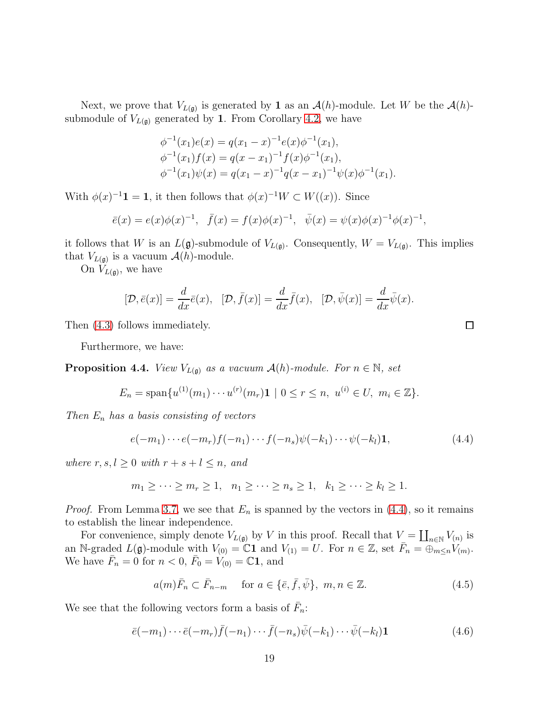Next, we prove that  $V_{L(\mathfrak{g})}$  is generated by 1 as an  $\mathcal{A}(h)$ -module. Let W be the  $\mathcal{A}(h)$ submodule of  $V_{L(\mathfrak{g})}$  generated by 1. From Corollary [4.2,](#page-15-0) we have

$$
\begin{aligned}\n\phi^{-1}(x_1)e(x) &= q(x_1 - x)^{-1}e(x)\phi^{-1}(x_1), \\
\phi^{-1}(x_1)f(x) &= q(x - x_1)^{-1}f(x)\phi^{-1}(x_1), \\
\phi^{-1}(x_1)\psi(x) &= q(x_1 - x)^{-1}q(x - x_1)^{-1}\psi(x)\phi^{-1}(x_1).\n\end{aligned}
$$

With  $\phi(x)^{-1}$ **1** = **1**, it then follows that  $\phi(x)^{-1}W \subset W((x))$ . Since

$$
\bar{e}(x) = e(x)\phi(x)^{-1}, \quad \bar{f}(x) = f(x)\phi(x)^{-1}, \quad \bar{\psi}(x) = \psi(x)\phi(x)^{-1}\phi(x)^{-1},
$$

it follows that W is an  $L(\mathfrak{g})$ -submodule of  $V_{L(\mathfrak{g})}$ . Consequently,  $W = V_{L(\mathfrak{g})}$ . This implies that  $V_{L(\mathfrak{g})}$  is a vacuum  $\mathcal{A}(h)$ -module.

On  $V_{L(\mathfrak{g})}$ , we have

$$
[\mathcal{D}, \bar{e}(x)] = \frac{d}{dx}\bar{e}(x), \quad [\mathcal{D}, \bar{f}(x)] = \frac{d}{dx}\bar{f}(x), \quad [\mathcal{D}, \bar{\psi}(x)] = \frac{d}{dx}\bar{\psi}(x).
$$

Then [\(4.3\)](#page-16-0) follows immediately.

Furthermore, we have:

<span id="page-18-3"></span>**Proposition 4.4.** View  $V_{L(\mathfrak{g})}$  as a vacuum  $\mathcal{A}(h)$ -module. For  $n \in \mathbb{N}$ , set

$$
E_n = \text{span}\{u^{(1)}(m_1)\cdots u^{(r)}(m_r)\mathbf{1} \mid 0 \le r \le n, \ u^{(i)} \in U, \ m_i \in \mathbb{Z}\}.
$$

Then  $E_n$  has a basis consisting of vectors

<span id="page-18-0"></span>
$$
e(-m_1)\cdots e(-m_r)f(-n_1)\cdots f(-n_s)\psi(-k_1)\cdots\psi(-k_l)\mathbf{1},\tag{4.4}
$$

where  $r, s, l > 0$  with  $r + s + l < n$ , and

$$
m_1 \geq \cdots \geq m_r \geq 1, \quad n_1 \geq \cdots \geq n_s \geq 1, \quad k_1 \geq \cdots \geq k_l \geq 1.
$$

*Proof.* From Lemma [3.7,](#page-11-3) we see that  $E_n$  is spanned by the vectors in [\(4.4\)](#page-18-0), so it remains to establish the linear independence.

For convenience, simply denote  $V_{L(\mathfrak{g})}$  by V in this proof. Recall that  $V = \coprod_{n \in \mathbb{N}} V_{(n)}$  is an N-graded  $L(\mathfrak{g})$ -module with  $V_{(0)} = \mathbb{C}1$  and  $V_{(1)} = U$ . For  $n \in \mathbb{Z}$ , set  $\bar{F}_n = \bigoplus_{m \leq n} V_{(m)}$ . We have  $\bar{F}_n = 0$  for  $n < 0$ ,  $\bar{F}_0 = V_{(0)} = \mathbb{C}1$ , and

<span id="page-18-1"></span>
$$
a(m)\bar{F}_n \subset \bar{F}_{n-m} \quad \text{ for } a \in \{\bar{e}, \bar{f}, \bar{\psi}\}, \ m, n \in \mathbb{Z}.
$$
 (4.5)

We see that the following vectors form a basis of  $\bar{F}_n$ :

<span id="page-18-2"></span>
$$
\bar{e}(-m_1)\cdots\bar{e}(-m_r)\bar{f}(-n_1)\cdots\bar{f}(-n_s)\bar{\psi}(-k_1)\cdots\bar{\psi}(-k_l)\mathbf{1}
$$
\n(4.6)

 $\Box$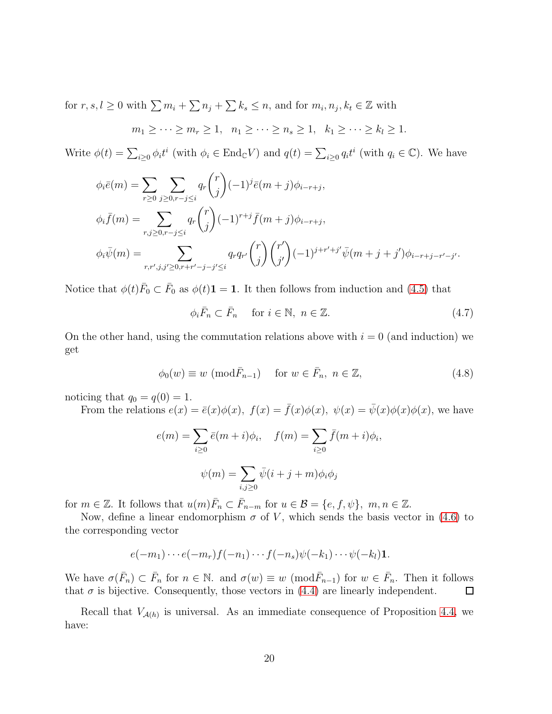for  $r, s, l \geq 0$  with  $\sum m_i + \sum n_j + \sum k_s \leq n$ , and for  $m_i, n_j, k_t \in \mathbb{Z}$  with

$$
m_1 \geq \cdots \geq m_r \geq 1, \quad n_1 \geq \cdots \geq n_s \geq 1, \quad k_1 \geq \cdots \geq k_l \geq 1.
$$

Write  $\phi(t) = \sum_{i \geq 0} \phi_i t^i$  (with  $\phi_i \in \text{End}_{\mathbb{C}}V$ ) and  $q(t) = \sum_{i \geq 0} q_i t^i$  (with  $q_i \in \mathbb{C}$ ). We have

$$
\phi_i \bar{e}(m) = \sum_{r \ge 0} \sum_{j \ge 0, r-j \le i} q_r \binom{r}{j} (-1)^j \bar{e}(m+j) \phi_{i-r+j},
$$
  
\n
$$
\phi_i \bar{f}(m) = \sum_{r,j \ge 0, r-j \le i} q_r \binom{r}{j} (-1)^{r+j} \bar{f}(m+j) \phi_{i-r+j},
$$
  
\n
$$
\phi_i \bar{\psi}(m) = \sum_{r,r',j,j' \ge 0, r+r'-j-j' \le i} q_r q_{r'} \binom{r}{j} \binom{r'}{j'} (-1)^{j+r'+j'} \bar{\psi}(m+j+j') \phi_{i-r+j-r'-j'}.
$$

Notice that  $\phi(t)\bar{F}_0 \subset \bar{F}_0$  as  $\phi(t)$ **1** = **1**. It then follows from induction and [\(4.5\)](#page-18-1) that

 $\phi_i \bar{F}_n \subset \bar{F}_n$  for  $i \in \mathbb{N}, n \in \mathbb{Z}$ . (4.7)

On the other hand, using the commutation relations above with  $i = 0$  (and induction) we get

$$
\phi_0(w) \equiv w \pmod{\bar{F}_{n-1}} \quad \text{for } w \in \bar{F}_n, \ n \in \mathbb{Z}, \tag{4.8}
$$

noticing that  $q_0 = q(0) = 1$ .

From the relations  $e(x) = \bar{e}(x)\phi(x)$ ,  $f(x) = \bar{f}(x)\phi(x)$ ,  $\psi(x) = \bar{\psi}(x)\phi(x)\phi(x)$ , we have

$$
e(m) = \sum_{i\geq 0} \bar{e}(m+i)\phi_i, \quad f(m) = \sum_{i\geq 0} \bar{f}(m+i)\phi_i,
$$

$$
\psi(m) = \sum_{i,j\geq 0} \bar{\psi}(i+j+m)\phi_i\phi_j
$$

for  $m \in \mathbb{Z}$ . It follows that  $u(m)\overline{F}_n \subset \overline{F}_{n-m}$  for  $u \in \mathcal{B} = \{e, f, \psi\}$ ,  $m, n \in \mathbb{Z}$ .

Now, define a linear endomorphism  $\sigma$  of V, which sends the basis vector in [\(4.6\)](#page-18-2) to the corresponding vector

$$
e(-m_1)\cdots e(-m_r)f(-n_1)\cdots f(-n_s)\psi(-k_1)\cdots\psi(-k_l)\mathbf{1}.
$$

We have  $\sigma(\bar{F}_n) \subset \bar{F}_n$  for  $n \in \mathbb{N}$ . and  $\sigma(w) \equiv w \pmod{\bar{F}_{n-1}}$  for  $w \in \bar{F}_n$ . Then it follows that  $\sigma$  is bijective. Consequently, those vectors in [\(4.4\)](#page-18-0) are linearly independent. 口

Recall that  $V_{\mathcal{A}(h)}$  is universal. As an immediate consequence of Proposition [4.4,](#page-18-3) we have: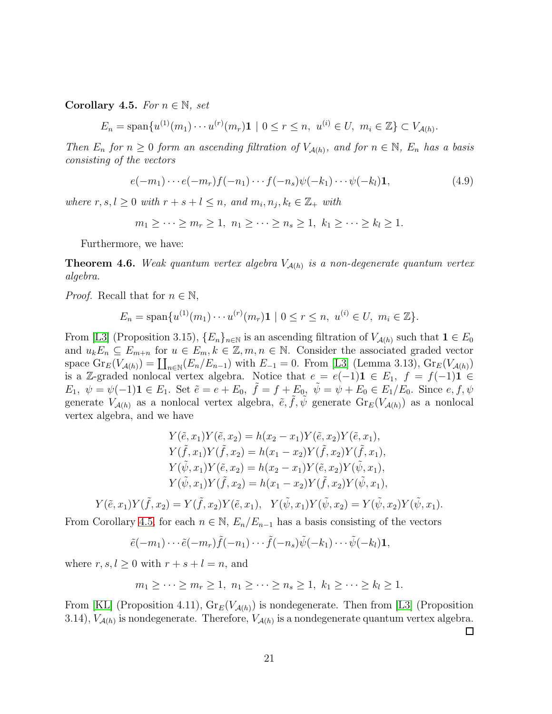<span id="page-20-0"></span>Corollary 4.5. For  $n \in \mathbb{N}$ , set

 $E_n = \text{span}\{u^{(1)}(m_1)\cdots u^{(r)}(m_r)\mathbf{1} \mid 0 \le r \le n, u^{(i)} \in U, m_i \in \mathbb{Z}\} \subset V_{\mathcal{A}(h)}.$ 

Then  $E_n$  for  $n \geq 0$  form an ascending filtration of  $V_{\mathcal{A}(h)}$ , and for  $n \in \mathbb{N}$ ,  $E_n$  has a basis consisting of the vectors

$$
e(-m_1)\cdots e(-m_r)f(-n_1)\cdots f(-n_s)\psi(-k_1)\cdots\psi(-k_l)\mathbf{1},\tag{4.9}
$$

where  $r, s, l \geq 0$  with  $r + s + l \leq n$ , and  $m_i, n_j, k_t \in \mathbb{Z}_+$  with

$$
m_1 \geq \cdots \geq m_r \geq 1, \ n_1 \geq \cdots \geq n_s \geq 1, \ k_1 \geq \cdots \geq k_l \geq 1.
$$

Furthermore, we have:

<span id="page-20-1"></span>**Theorem 4.6.** Weak quantum vertex algebra  $V_{\mathcal{A}(h)}$  is a non-degenerate quantum vertex algebra.

*Proof.* Recall that for  $n \in \mathbb{N}$ ,

$$
E_n = \text{span}\{u^{(1)}(m_1)\cdots u^{(r)}(m_r)\mathbf{1} \mid 0 \le r \le n, \ u^{(i)} \in U, \ m_i \in \mathbb{Z}\}.
$$

From [\[L3\]](#page-31-7) (Proposition 3.15),  $\{E_n\}_{n\in\mathbb{N}}$  is an ascending filtration of  $V_{\mathcal{A}(h)}$  such that  $1 \in E_0$ and  $u_k E_n \subseteq E_{m+n}$  for  $u \in E_m, k \in \mathbb{Z}, m, n \in \mathbb{N}$ . Consider the associated graded vector space  $\text{Gr}_E(V_{\mathcal{A}(h)}) = \coprod_{n \in \mathbb{N}} (E_n/E_{n-1})$  with  $E_{-1} = 0$ . From [\[L3\]](#page-31-7) (Lemma 3.13),  $\text{Gr}_E(V_{\mathcal{A}(h)})$ is a Z-graded nonlocal vertex algebra. Notice that  $e = e(-1)\mathbf{1} \in E_1$ ,  $f = f(-1)\mathbf{1} \in E_2$  $E_1, \psi = \psi(-1)$ **1**  $\in E_1$ . Set  $\tilde{e} = e + E_0$ ,  $\tilde{f} = f + E_0$ ,  $\tilde{\psi} = \psi + E_0 \in E_1/E_0$ . Since  $e, f, \psi$ generate  $V_{\mathcal{A}(h)}$  as a nonlocal vertex algebra,  $\tilde{e}, \tilde{f}, \tilde{\psi}$  generate  $\text{Gr}_E(V_{\mathcal{A}(h)})$  as a nonlocal vertex algebra, and we have

$$
Y(\tilde{e}, x_1)Y(\tilde{e}, x_2) = h(x_2 - x_1)Y(\tilde{e}, x_2)Y(\tilde{e}, x_1),
$$
  
\n
$$
Y(\tilde{f}, x_1)Y(\tilde{f}, x_2) = h(x_1 - x_2)Y(\tilde{f}, x_2)Y(\tilde{f}, x_1),
$$
  
\n
$$
Y(\tilde{\psi}, x_1)Y(\tilde{e}, x_2) = h(x_2 - x_1)Y(\tilde{e}, x_2)Y(\tilde{\psi}, x_1),
$$
  
\n
$$
Y(\tilde{\psi}, x_1)Y(\tilde{f}, x_2) = h(x_1 - x_2)Y(\tilde{f}, x_2)Y(\tilde{\psi}, x_1),
$$

$$
Y(\tilde{e}, x_1)Y(\tilde{f}, x_2) = Y(\tilde{f}, x_2)Y(\tilde{e}, x_1), \quad Y(\tilde{\psi}, x_1)Y(\tilde{\psi}, x_2) = Y(\tilde{\psi}, x_2)Y(\tilde{\psi}, x_1).
$$

From Corollary [4.5,](#page-20-0) for each  $n \in \mathbb{N}$ ,  $E_n/E_{n-1}$  has a basis consisting of the vectors

 $\tilde{e}(-m_1)\cdots\tilde{e}(-m_r)\tilde{f}(-n_1)\cdots\tilde{f}(-n_s)\tilde{\psi}(-k_1)\cdots\tilde{\psi}(-k_l)\mathbf{1},$ 

where  $r, s, l \geq 0$  with  $r + s + l = n$ , and

$$
m_1 \geq \cdots \geq m_r \geq 1, n_1 \geq \cdots \geq n_s \geq 1, k_1 \geq \cdots \geq k_l \geq 1.
$$

From [\[KL\]](#page-31-9) (Proposition 4.11),  $\text{Gr}_E(V_{\mathcal{A}(h)})$  is nondegenerate. Then from [\[L3\]](#page-31-7) (Proposition 3.14),  $V_{\mathcal{A}(h)}$  is nondegenerate. Therefore,  $V_{\mathcal{A}(h)}$  is a nondegenerate quantum vertex algebra.

 $\Box$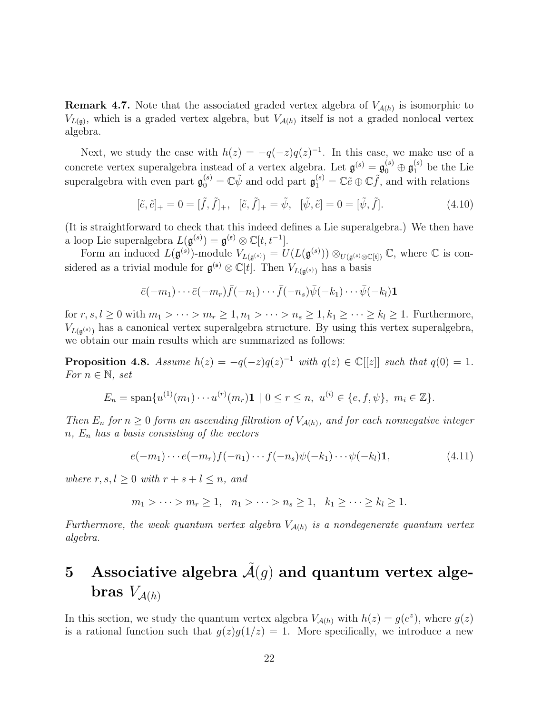**Remark 4.7.** Note that the associated graded vertex algebra of  $V_{\mathcal{A}(h)}$  is isomorphic to  $V_{L(\mathfrak{g})}$ , which is a graded vertex algebra, but  $V_{\mathcal{A}(h)}$  itself is not a graded nonlocal vertex algebra.

Next, we study the case with  $h(z) = -q(-z)q(z)^{-1}$ . In this case, we make use of a concrete vertex superalgebra instead of a vertex algebra. Let  $\mathfrak{g}^{(s)} = \mathfrak{g}_0^{(s)} \oplus \mathfrak{g}_1^{(s)}$  be the Lie superalgebra with even part  $\mathfrak{g}_0^{(s)} = \mathbb{C}\tilde{\psi}$  and odd part  $\mathfrak{g}_1^{(s)} = \mathbb{C}\tilde{e} \oplus \mathbb{C}\tilde{f}$ , and with relations

$$
[\tilde{e}, \tilde{e}]_+ = 0 = [\tilde{f}, \tilde{f}]_+, \quad [\tilde{e}, \tilde{f}]_+ = \tilde{\psi}, \quad [\tilde{\psi}, \tilde{e}] = 0 = [\tilde{\psi}, \tilde{f}]. \tag{4.10}
$$

(It is straightforward to check that this indeed defines a Lie superalgebra.) We then have a loop Lie superalgebra  $L(\mathfrak{g}^{(s)}) = \mathfrak{g}^{(\mathfrak{s})} \otimes \mathbb{C}[t, t^{-1}].$ 

Form an induced  $L(\mathfrak{g}^{(s)})$ -module  $V_{L(\mathfrak{g}^{(s)})} = U(L(\mathfrak{g}^{(s)})) \otimes_{U(\mathfrak{g}^{(s)} \otimes \mathbb{C}[\mathfrak{t}])} \mathbb{C}$ , where  $\mathbb C$  is considered as a trivial module for  $\mathfrak{g}^{(\mathfrak{s})} \otimes \mathbb{C}[t]$ . Then  $V_{L(\mathfrak{g}^{(\mathfrak{s})})}$  has a basis

$$
\bar{e}(-m_1)\cdots\bar{e}(-m_r)\bar{f}(-n_1)\cdots\bar{f}(-n_s)\bar{\psi}(-k_1)\cdots\bar{\psi}(-k_l)\mathbf{1}
$$

for  $r, s, l \geq 0$  with  $m_1 > \cdots > m_r \geq 1, n_1 > \cdots > n_s \geq 1, k_1 \geq \cdots \geq k_l \geq 1$ . Furthermore,  $V_{L(\mathfrak{g}^{(s)})}$  has a canonical vertex superalgebra structure. By using this vertex superalgebra, we obtain our main results which are summarized as follows:

<span id="page-21-0"></span>**Proposition 4.8.** Assume  $h(z) = -q(-z)q(z)^{-1}$  with  $q(z) \in \mathbb{C}[[z]]$  such that  $q(0) = 1$ . For  $n \in \mathbb{N}$ , set

$$
E_n = \text{span}\{u^{(1)}(m_1)\cdots u^{(r)}(m_r)\mathbf{1} \mid 0 \le r \le n, \ u^{(i)} \in \{e, f, \psi\}, \ m_i \in \mathbb{Z}\}.
$$

Then  $E_n$  for  $n \geq 0$  form an ascending filtration of  $V_{\mathcal{A}(h)}$ , and for each nonnegative integer  $n, E_n$  has a basis consisting of the vectors

$$
e(-m_1)\cdots e(-m_r)f(-n_1)\cdots f(-n_s)\psi(-k_1)\cdots\psi(-k_l)\mathbf{1},\tag{4.11}
$$

where  $r, s, l > 0$  with  $r + s + l \leq n$ , and

$$
m_1 > \cdots > m_r \ge 1, \quad n_1 > \cdots > n_s \ge 1, \quad k_1 \ge \cdots \ge k_l \ge 1.
$$

Furthermore, the weak quantum vertex algebra  $V_{\mathcal{A}(h)}$  is a nondegenerate quantum vertex algebra.

# 5 Associative algebra  $\tilde{\mathcal{A}}(g)$  and quantum vertex algebras  $V_{\mathcal{A}(h)}$

In this section, we study the quantum vertex algebra  $V_{\mathcal{A}(h)}$  with  $h(z) = g(e^z)$ , where  $g(z)$ is a rational function such that  $g(z)g(1/z) = 1$ . More specifically, we introduce a new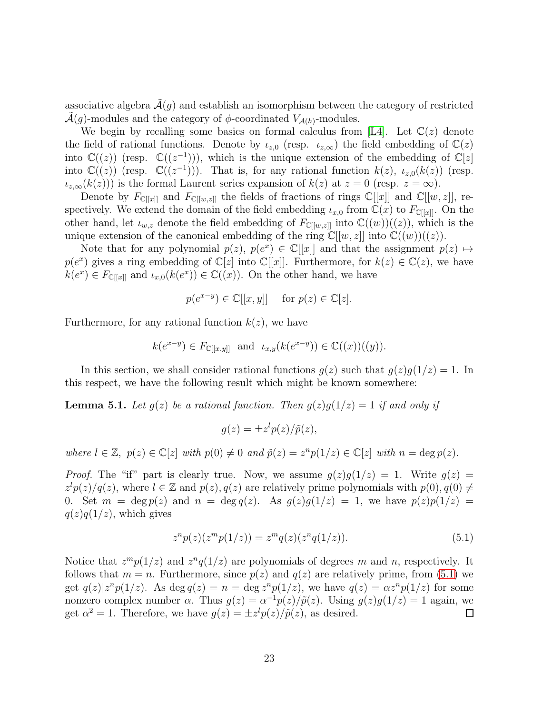associative algebra  $\mathcal{A}(g)$  and establish an isomorphism between the category of restricted  $\mathcal{A}(q)$ -modules and the category of  $\phi$ -coordinated  $V_{\mathcal{A}(h)}$ -modules.

We begin by recalling some basics on formal calculus from [\[L4\]](#page-31-3). Let  $\mathbb{C}(z)$  denote the field of rational functions. Denote by  $\iota_{z,0}$  (resp.  $\iota_{z,\infty}$ ) the field embedding of  $\mathbb{C}(z)$ into  $\mathbb{C}((z))$  (resp.  $\mathbb{C}((z^{-1})),$  which is the unique extension of the embedding of  $\mathbb{C}[z]$ into  $\mathbb{C}((z))$  (resp.  $\mathbb{C}((z^{-1}))$ ). That is, for any rational function  $k(z)$ ,  $\iota_{z,0}(k(z))$  (resp.  $i_{z,\infty}(k(z))$  is the formal Laurent series expansion of  $k(z)$  at  $z = 0$  (resp.  $z = \infty$ ).

Denote by  $F_{\mathbb{C}[[x]]}$  and  $F_{\mathbb{C}[[w,z]]}$  the fields of fractions of rings  $\mathbb{C}[[x]]$  and  $\mathbb{C}[[w,z]]$ , respectively. We extend the domain of the field embedding  $\iota_{x,0}$  from  $\mathbb{C}(x)$  to  $F_{\mathbb{C}[[x]]}$ . On the other hand, let  $\iota_{w,z}$  denote the field embedding of  $F_{\mathbb{C}[[w,z]]}$  into  $\mathbb{C}((w))((z))$ , which is the unique extension of the canonical embedding of the ring  $\mathbb{C}[[w, z]]$  into  $\mathbb{C}((w))((z))$ .

Note that for any polynomial  $p(z)$ ,  $p(e^x) \in \mathbb{C}[[x]]$  and that the assignment  $p(z) \mapsto$  $p(e^x)$  gives a ring embedding of  $\mathbb{C}[z]$  into  $\mathbb{C}[[x]]$ . Furthermore, for  $k(z) \in \mathbb{C}(z)$ , we have  $k(e^x) \in F_{\mathbb{C}[[x]]}$  and  $\iota_{x,0}(k(e^x)) \in \mathbb{C}((x))$ . On the other hand, we have

$$
p(e^{x-y}) \in \mathbb{C}[[x, y]] \quad \text{ for } p(z) \in \mathbb{C}[z].
$$

Furthermore, for any rational function  $k(z)$ , we have

$$
k(e^{x-y}) \in F_{\mathbb{C}[[x,y]]}
$$
 and  $\iota_{x,y}(k(e^{x-y})) \in \mathbb{C}((x))((y)).$ 

In this section, we shall consider rational functions  $q(z)$  such that  $q(z)q(1/z) = 1$ . In this respect, we have the following result which might be known somewhere:

<span id="page-22-1"></span>**Lemma 5.1.** Let  $g(z)$  be a rational function. Then  $g(z)g(1/z) = 1$  if and only if

$$
g(z) = \pm z^l p(z) / \tilde{p}(z),
$$

where  $l \in \mathbb{Z}$ ,  $p(z) \in \mathbb{C}[z]$  with  $p(0) \neq 0$  and  $\tilde{p}(z) = z^n p(1/z) \in \mathbb{C}[z]$  with  $n = \deg p(z)$ .

*Proof.* The "if" part is clearly true. Now, we assume  $g(z)g(1/z) = 1$ . Write  $g(z) =$  $z^l p(z)/q(z)$ , where  $l \in \mathbb{Z}$  and  $p(z)$ ,  $q(z)$  are relatively prime polynomials with  $p(0)$ ,  $q(0) \neq$ 0. Set  $m = \deg p(z)$  and  $n = \deg q(z)$ . As  $g(z)g(1/z) = 1$ , we have  $p(z)p(1/z) = 1$  $q(z)q(1/z)$ , which gives

<span id="page-22-0"></span>
$$
z^{n}p(z)(z^{m}p(1/z)) = z^{m}q(z)(z^{n}q(1/z)).
$$
\n(5.1)

Notice that  $z^m p(1/z)$  and  $z^n q(1/z)$  are polynomials of degrees m and n, respectively. It follows that  $m = n$ . Furthermore, since  $p(z)$  and  $q(z)$  are relatively prime, from [\(5.1\)](#page-22-0) we get  $q(z)|z^n p(1/z)$ . As deg  $q(z) = n = \deg z^n p(1/z)$ , we have  $q(z) = \alpha z^n p(1/z)$  for some nonzero complex number  $\alpha$ . Thus  $g(z) = \alpha^{-1} p(z)/\tilde{p}(z)$ . Using  $g(z)g(1/z) = 1$  again, we get  $\alpha^2 = 1$ . Therefore, we have  $g(z) = \pm z^l p(z) / \tilde{p}(z)$ , as desired.  $\Box$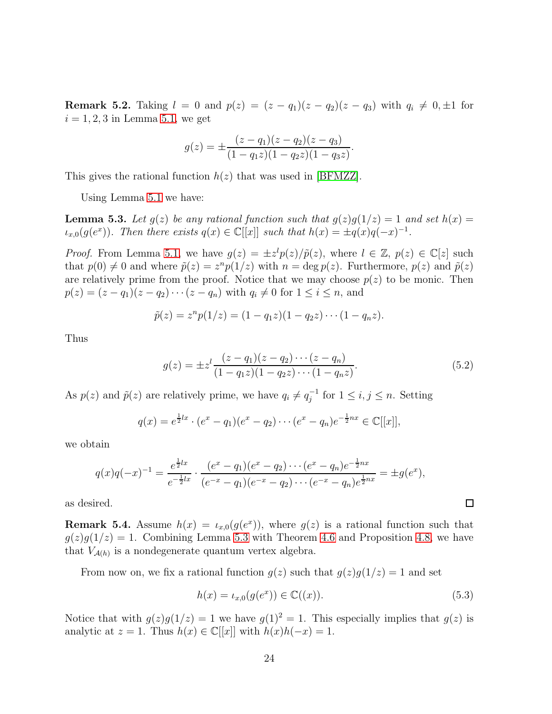**Remark 5.2.** Taking  $l = 0$  and  $p(z) = (z - q_1)(z - q_2)(z - q_3)$  with  $q_i \neq 0, \pm 1$  for  $i = 1, 2, 3$  in Lemma [5.1,](#page-22-1) we get

$$
g(z) = \pm \frac{(z-q_1)(z-q_2)(z-q_3)}{(1-q_1z)(1-q_2z)(1-q_3z)}.
$$

This gives the rational function  $h(z)$  that was used in [\[BFMZZ\]](#page-30-0).

Using Lemma [5.1](#page-22-1) we have:

<span id="page-23-0"></span>**Lemma 5.3.** Let  $g(z)$  be any rational function such that  $g(z)g(1/z) = 1$  and set  $h(x) =$  $\iota_{x,0}(g(e^x))$ . Then there exists  $q(x) \in \mathbb{C}[[x]]$  such that  $h(x) = \pm q(x)q(-x)^{-1}$ .

*Proof.* From Lemma [5.1,](#page-22-1) we have  $g(z) = \pm z^l p(z) / \tilde{p}(z)$ , where  $l \in \mathbb{Z}$ ,  $p(z) \in \mathbb{C}[z]$  such that  $p(0) \neq 0$  and where  $\tilde{p}(z) = z^n p(1/z)$  with  $n = \deg p(z)$ . Furthermore,  $p(z)$  and  $\tilde{p}(z)$ are relatively prime from the proof. Notice that we may choose  $p(z)$  to be monic. Then  $p(z) = (z - q_1)(z - q_2) \cdots (z - q_n)$  with  $q_i \neq 0$  for  $1 \leq i \leq n$ , and

$$
\tilde{p}(z) = z^n p(1/z) = (1 - q_1 z)(1 - q_2 z) \cdots (1 - q_n z).
$$

Thus

$$
g(z) = \pm z^l \frac{(z - q_1)(z - q_2) \cdots (z - q_n)}{(1 - q_1 z)(1 - q_2 z) \cdots (1 - q_n z)}.
$$
\n(5.2)

As  $p(z)$  and  $\tilde{p}(z)$  are relatively prime, we have  $q_i \neq q_i^{-1}$  $j^{-1}$  for  $1 \leq i, j \leq n$ . Setting

$$
q(x) = e^{\frac{1}{2}lx} \cdot (e^x - q_1)(e^x - q_2) \cdots (e^x - q_n)e^{-\frac{1}{2}nx} \in \mathbb{C}[[x]],
$$

we obtain

$$
q(x)q(-x)^{-1} = \frac{e^{\frac{1}{2}lx}}{e^{-\frac{1}{2}lx}} \cdot \frac{(e^x - q_1)(e^x - q_2) \cdots (e^x - q_n)e^{-\frac{1}{2}nx}}{(e^{-x} - q_1)(e^{-x} - q_2) \cdots (e^{-x} - q_n)e^{\frac{1}{2}nx}} = \pm g(e^x),
$$

as desired.

**Remark 5.4.** Assume  $h(x) = \iota_{x,0}(g(e^x))$ , where  $g(z)$  is a rational function such that  $g(z)g(1/z) = 1$ . Combining Lemma [5.3](#page-23-0) with Theorem [4.6](#page-20-1) and Proposition [4.8,](#page-21-0) we have that  $V_{\mathcal{A}(h)}$  is a nondegenerate quantum vertex algebra.

From now on, we fix a rational function  $g(z)$  such that  $g(z)g(1/z) = 1$  and set

$$
h(x) = \iota_{x,0}(g(e^x)) \in \mathbb{C}((x)).
$$
\n(5.3)

 $\Box$ 

Notice that with  $g(z)g(1/z) = 1$  we have  $g(1)^2 = 1$ . This especially implies that  $g(z)$  is analytic at  $z = 1$ . Thus  $h(x) \in \mathbb{C}[[x]]$  with  $h(x)h(-x) = 1$ .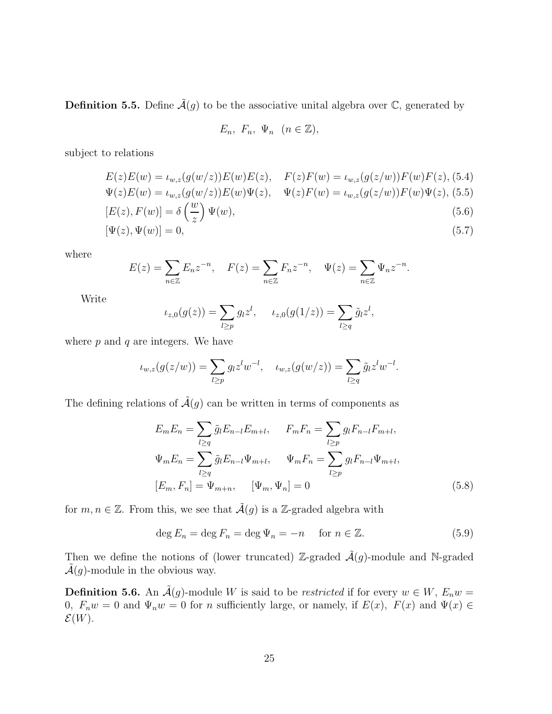**Definition 5.5.** Define  $\tilde{\mathcal{A}}(g)$  to be the associative unital algebra over  $\mathbb{C}$ , generated by

$$
E_n, F_n, \Psi_n \ (n \in \mathbb{Z}),
$$

subject to relations

<span id="page-24-0"></span>
$$
E(z)E(w) = \iota_{w,z}(g(w/z))E(w)E(z), \quad F(z)F(w) = \iota_{w,z}(g(z/w))F(w)F(z), (5.4)
$$
  

$$
\Psi(z)E(w) = \iota_{w,z}(g(w/z))E(w)\Psi(z), \quad \Psi(z)F(w) = \iota_{w,z}(g(z/w))F(w)\Psi(z), (5.5)
$$

$$
[E(z), F(w)] = \delta\left(\frac{w}{z}\right)\Psi(w),\tag{5.6}
$$

$$
[\Psi(z), \Psi(w)] = 0,\tag{5.7}
$$

where

$$
E(z) = \sum_{n \in \mathbb{Z}} E_n z^{-n}, \quad F(z) = \sum_{n \in \mathbb{Z}} F_n z^{-n}, \quad \Psi(z) = \sum_{n \in \mathbb{Z}} \Psi_n z^{-n}.
$$

Write

$$
\iota_{z,0}(g(z)) = \sum_{l \ge p} g_l z^l, \quad \iota_{z,0}(g(1/z)) = \sum_{l \ge q} \tilde{g}_l z^l,
$$

where  $p$  and  $q$  are integers. We have

$$
\iota_{w,z}(g(z/w)) = \sum_{l \ge p} g_l z^l w^{-l}, \quad \iota_{w,z}(g(w/z)) = \sum_{l \ge q} \tilde{g}_l z^l w^{-l}.
$$

The defining relations of  $\tilde{\mathcal{A}}(g)$  can be written in terms of components as

<span id="page-24-1"></span>
$$
E_m E_n = \sum_{l \ge q} \tilde{g}_l E_{n-l} E_{m+l}, \qquad F_m F_n = \sum_{l \ge p} g_l F_{n-l} F_{m+l},
$$
  

$$
\Psi_m E_n = \sum_{l \ge q} \tilde{g}_l E_{n-l} \Psi_{m+l}, \qquad \Psi_m F_n = \sum_{l \ge p} g_l F_{n-l} \Psi_{m+l},
$$
  

$$
[E_m, F_n] = \Psi_{m+n}, \qquad [\Psi_m, \Psi_n] = 0
$$
 (5.8)

for  $m, n \in \mathbb{Z}$ . From this, we see that  $\tilde{A}(g)$  is a Z-graded algebra with

$$
\deg E_n = \deg F_n = \deg \Psi_n = -n \quad \text{for } n \in \mathbb{Z}.
$$
\n(5.9)

Then we define the notions of (lower truncated) Z-graded  $\tilde{\mathcal{A}}(q)$ -module and N-graded  $\mathcal{A}(q)$ -module in the obvious way.

**Definition 5.6.** An  $\tilde{A}(g)$ -module W is said to be *restricted* if for every  $w \in W$ ,  $E_n w =$ 0,  $F_nw = 0$  and  $\Psi_nw = 0$  for n sufficiently large, or namely, if  $E(x)$ ,  $F(x)$  and  $\Psi(x) \in$  $\mathcal{E}(W)$ .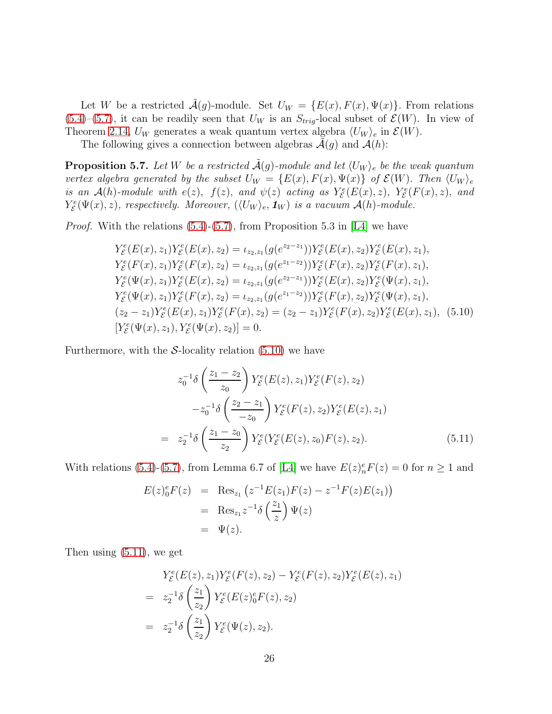Let W be a restricted  $\mathcal{A}(g)$ -module. Set  $U_W = \{E(x), F(x), \Psi(x)\}\.$  From relations  $(5.4)$ – $(5.7)$ , it can be readily seen that  $U_W$  is an  $S_{trig}$ -local subset of  $\mathcal{E}(W)$ . In view of Theorem [2.14,](#page-9-1)  $U_W$  generates a weak quantum vertex algebra  $\langle U_W \rangle_e$  in  $\mathcal{E}(W)$ .

The following gives a connection between algebras  $\mathcal{A}(g)$  and  $\mathcal{A}(h)$ :

<span id="page-25-2"></span>**Proposition 5.7.** Let W be a restricted  $\tilde{A}(g)$ -module and let  $\langle U_W \rangle_e$  be the weak quantum vertex algebra generated by the subset  $U_W = \{E(x), F(x), \Psi(x)\}\;$  of  $\mathcal{E}(W)$ . Then  $\langle U_W \rangle_e$ is an  $\mathcal{A}(h)$ -module with  $e(z)$ ,  $f(z)$ , and  $\psi(z)$  acting as  $Y^e_{\mathcal{E}}(E(x), z)$ ,  $Y^e_{\mathcal{E}}(F(x), z)$ , and  $Y_{\mathcal{E}}^{e}(\Psi(x), z)$ , respectively. Moreover,  $(\langle U_W \rangle_e, \mathbf{1}_W)$  is a vacuum  $\mathcal{A}(h)$ -module.

*Proof.* With the relations  $(5.4)-(5.7)$  $(5.4)-(5.7)$ , from Proposition 5.3 in [\[L4\]](#page-31-3) we have

<span id="page-25-0"></span>
$$
Y_{\mathcal{E}}^{e}(E(x), z_{1})Y_{\mathcal{E}}^{e}(E(x), z_{2}) = \iota_{z_{2}, z_{1}}(g(e^{z_{2}-z_{1}}))Y_{\mathcal{E}}^{e}(E(x), z_{2})Y_{\mathcal{E}}^{e}(E(x), z_{1}),
$$
  
\n
$$
Y_{\mathcal{E}}^{e}(F(x), z_{1})Y_{\mathcal{E}}^{e}(F(x), z_{2}) = \iota_{z_{2}, z_{1}}(g(e^{z_{1}-z_{2}}))Y_{\mathcal{E}}^{e}(F(x), z_{2})Y_{\mathcal{E}}^{e}(F(x), z_{1}),
$$
  
\n
$$
Y_{\mathcal{E}}^{e}(\Psi(x), z_{1})Y_{\mathcal{E}}^{e}(E(x), z_{2}) = \iota_{z_{2}, z_{1}}(g(e^{z_{2}-z_{1}}))Y_{\mathcal{E}}^{e}(E(x), z_{2})Y_{\mathcal{E}}^{e}(\Psi(x), z_{1}),
$$
  
\n
$$
Y_{\mathcal{E}}^{e}(\Psi(x), z_{1})Y_{\mathcal{E}}^{e}(F(x), z_{2}) = \iota_{z_{2}, z_{1}}(g(e^{z_{1}-z_{2}}))Y_{\mathcal{E}}^{e}(F(x), z_{2})Y_{\mathcal{E}}^{e}(\Psi(x), z_{1}),
$$
  
\n
$$
(z_{2}-z_{1})Y_{\mathcal{E}}^{e}(E(x), z_{1})Y_{\mathcal{E}}^{e}(F(x), z_{2}) = (z_{2}-z_{1})Y_{\mathcal{E}}^{e}(F(x), z_{2})Y_{\mathcal{E}}^{e}(E(x), z_{1}),
$$
  
\n
$$
[Y_{\mathcal{E}}^{e}(\Psi(x), z_{1}), Y_{\mathcal{E}}^{e}(\Psi(x), z_{2})] = 0.
$$

Furthermore, with the S-locality relation  $(5.10)$  we have

<span id="page-25-1"></span>
$$
z_0^{-1}\delta\left(\frac{z_1 - z_2}{z_0}\right) Y_{\mathcal{E}}^e(E(z), z_1) Y_{\mathcal{E}}^e(F(z), z_2)
$$
  

$$
-z_0^{-1}\delta\left(\frac{z_2 - z_1}{-z_0}\right) Y_{\mathcal{E}}^e(F(z), z_2) Y_{\mathcal{E}}^e(E(z), z_1)
$$
  

$$
= z_2^{-1}\delta\left(\frac{z_1 - z_0}{z_2}\right) Y_{\mathcal{E}}^e(Y_{\mathcal{E}}^e(E(z), z_0) F(z), z_2).
$$
 (5.11)

With relations [\(5.4\)](#page-24-0)-[\(5.7\)](#page-24-0), from Lemma 6.7 of [\[L4\]](#page-31-3) we have  $E(z)_n^e F(z) = 0$  for  $n \ge 1$  and

$$
E(z)_0^e F(z) = \text{Res}_{z_1} (z^{-1} E(z_1) F(z) - z^{-1} F(z) E(z_1))
$$
  
= Res\_{z\_1} z^{-1} \delta \left(\frac{z\_1}{z}\right) \Psi(z)  
= \Psi(z).

Then using [\(5.11\)](#page-25-1), we get

$$
Y_{\mathcal{E}}^{e}(E(z), z_1)Y_{\mathcal{E}}^{e}(F(z), z_2) - Y_{\mathcal{E}}^{e}(F(z), z_2)Y_{\mathcal{E}}^{e}(E(z), z_1)
$$
  
= 
$$
z_2^{-1}\delta\left(\frac{z_1}{z_2}\right)Y_{\mathcal{E}}^{e}(E(z)_{0}^{e}F(z), z_2)
$$
  
= 
$$
z_2^{-1}\delta\left(\frac{z_1}{z_2}\right)Y_{\mathcal{E}}^{e}(\Psi(z), z_2).
$$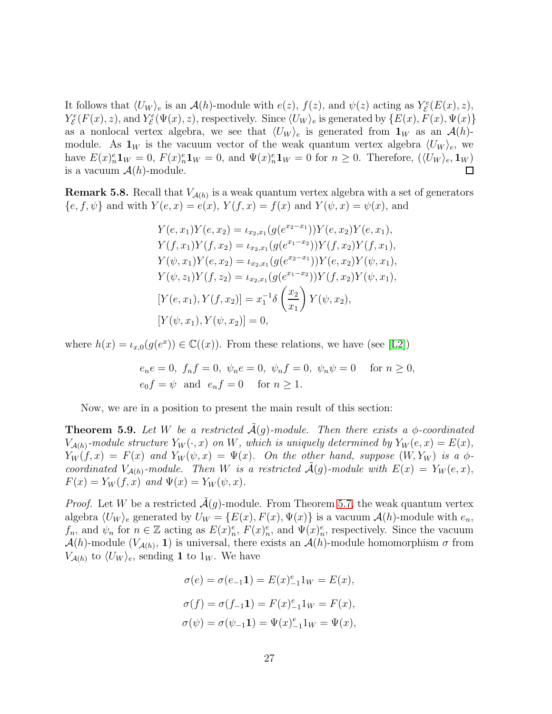It follows that  $\langle U_W \rangle_e$  is an  $\mathcal{A}(h)$ -module with  $e(z)$ ,  $f(z)$ , and  $\psi(z)$  acting as  $Y^e_{\mathcal{E}}(E(x), z)$ ,  $Y_{\mathcal{E}}^{e}(F(x), z)$ , and  $Y_{\mathcal{E}}^{e}(\Psi(x), z)$ , respectively. Since  $\langle U_W \rangle_e$  is generated by  $\{E(x), F(x), \Psi(x)\}$ as a nonlocal vertex algebra, we see that  $\langle U_W \rangle_e$  is generated from  $\mathbf{1}_W$  as an  $\mathcal{A}(h)$ module. As  $\mathbf{1}_W$  is the vacuum vector of the weak quantum vertex algebra  $\langle U_W \rangle_e$ , we have  $E(x)_n^e \mathbf{1}_W = 0$ ,  $F(x)_n^e \mathbf{1}_W = 0$ , and  $\Psi(x)_n^e \mathbf{1}_W = 0$  for  $n \geq 0$ . Therefore,  $(\langle U_W \rangle_e, \mathbf{1}_W)$ is a vacuum  $\mathcal{A}(h)$ -module.  $\Box$ 

<span id="page-26-0"></span>**Remark 5.8.** Recall that  $V_{\mathcal{A}(h)}$  is a weak quantum vertex algebra with a set of generators  ${e, f, \psi}$  and with  $Y(e, x) = e(x), Y(f, x) = f(x)$  and  $Y(\psi, x) = \psi(x)$ , and

$$
Y(e, x_1)Y(e, x_2) = \iota_{x_2, x_1}(g(e^{x_2 - x_1}))Y(e, x_2)Y(e, x_1),
$$
  
\n
$$
Y(f, x_1)Y(f, x_2) = \iota_{x_2, x_1}(g(e^{x_1 - x_2}))Y(f, x_2)Y(f, x_1),
$$
  
\n
$$
Y(\psi, x_1)Y(e, x_2) = \iota_{x_2, x_1}(g(e^{x_2 - x_1}))Y(e, x_2)Y(\psi, x_1),
$$
  
\n
$$
Y(\psi, z_1)Y(f, z_2) = \iota_{x_2, x_1}(g(e^{x_1 - x_2}))Y(f, x_2)Y(\psi, x_1),
$$
  
\n
$$
[Y(e, x_1), Y(f, x_2)] = x_1^{-1}\delta\left(\frac{x_2}{x_1}\right)Y(\psi, x_2),
$$
  
\n
$$
[Y(\psi, x_1), Y(\psi, x_2)] = 0,
$$

where  $h(x) = \iota_{x,0}(g(e^x)) \in \mathbb{C}((x))$ . From these relations, we have (see [\[L2\]](#page-31-2))

$$
e_ne = 0, f_nf = 0, \psi_ne = 0, \psi_nf = 0, \psi_n\psi = 0 \quad \text{for } n \ge 0,
$$
  

$$
e_0f = \psi \text{ and } e_nf = 0 \quad \text{for } n \ge 1.
$$

Now, we are in a position to present the main result of this section:

<span id="page-26-1"></span>**Theorem 5.9.** Let W be a restricted  $\mathcal{A}(g)$ -module. Then there exists a  $\phi$ -coordinated  $V_{\mathcal{A}(h)}$ -module structure  $Y_W(\cdot, x)$  on W, which is uniquely determined by  $Y_W(e, x) = E(x)$ ,  $Y_W(f, x) = F(x)$  and  $Y_W(\psi, x) = \Psi(x)$ . On the other hand, suppose  $(W, Y_W)$  is a  $\phi$ coordinated  $V_{\mathcal{A}(h)}$ -module. Then W is a restricted  $\mathcal{A}(g)$ -module with  $E(x) = Y_W(e, x)$ ,  $F(x) = Y_W(f, x)$  and  $\Psi(x) = Y_W(\psi, x)$ .

*Proof.* Let W be a restricted  $\mathcal{A}(q)$ -module. From Theorem [5.7,](#page-25-2) the weak quantum vertex algebra  $\langle U_W \rangle_e$  generated by  $U_W = \{E(x), F(x), \Psi(x)\}\$ is a vacuum  $\mathcal{A}(h)$ -module with  $e_n$ ,  $f_n$ , and  $\psi_n$  for  $n \in \mathbb{Z}$  acting as  $E(x)_n^e$ ,  $F(x)_n^e$ , and  $\Psi(x)_n^e$ , respectively. Since the vacuum  $\mathcal{A}(h)$ -module  $(V_{\mathcal{A}(h)}, 1)$  is universal, there exists an  $\mathcal{A}(h)$ -module homomorphism  $\sigma$  from  $V_{\mathcal{A}(h)}$  to  $\langle U_W \rangle_e$ , sending 1 to  $1_W$ . We have

$$
\sigma(e) = \sigma(e_{-1}\mathbf{1}) = E(x)_{-1}^e 1_W = E(x),
$$
  
\n
$$
\sigma(f) = \sigma(f_{-1}\mathbf{1}) = F(x)_{-1}^e 1_W = F(x),
$$
  
\n
$$
\sigma(\psi) = \sigma(\psi_{-1}\mathbf{1}) = \Psi(x)_{-1}^e 1_W = \Psi(x),
$$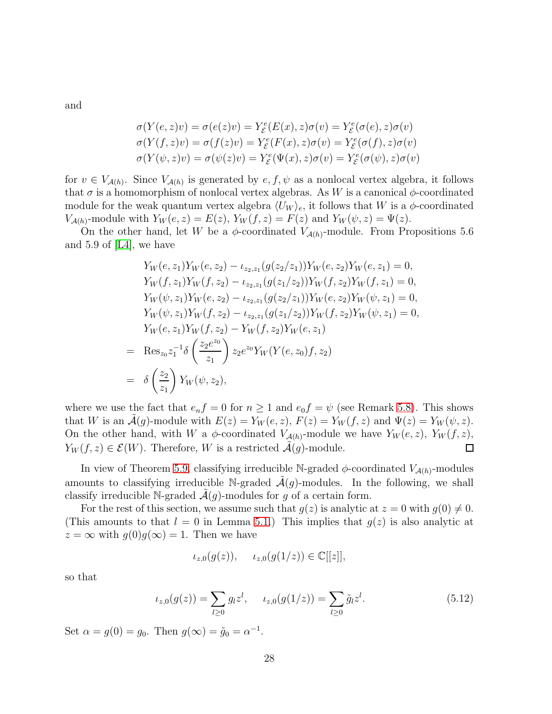and

$$
\sigma(Y(e, z)v) = \sigma(e(z)v) = Y_{\varepsilon}^{e}(E(x), z)\sigma(v) = Y_{\varepsilon}^{e}(\sigma(e), z)\sigma(v)
$$
  

$$
\sigma(Y(f, z)v) = \sigma(f(z)v) = Y_{\varepsilon}^{e}(F(x), z)\sigma(v) = Y_{\varepsilon}^{e}(\sigma(f), z)\sigma(v)
$$
  

$$
\sigma(Y(\psi, z)v) = \sigma(\psi(z)v) = Y_{\varepsilon}^{e}(\Psi(x), z)\sigma(v) = Y_{\varepsilon}^{e}(\sigma(\psi), z)\sigma(v)
$$

for  $v \in V_{\mathcal{A}(h)}$ . Since  $V_{\mathcal{A}(h)}$  is generated by  $e, f, \psi$  as a nonlocal vertex algebra, it follows that  $\sigma$  is a homomorphism of nonlocal vertex algebras. As W is a canonical  $\phi$ -coordinated module for the weak quantum vertex algebra  $\langle U_W \rangle_e$ , it follows that W is a  $\phi$ -coordinated  $V_{\mathcal{A}(h)}$ -module with  $Y_W(e, z) = E(z)$ ,  $Y_W(f, z) = F(z)$  and  $Y_W(\psi, z) = \Psi(z)$ .

On the other hand, let W be a  $\phi$ -coordinated  $V_{\mathcal{A}(h)}$ -module. From Propositions 5.6 and 5.9 of  $|L4|$ , we have

$$
Y_W(e, z_1)Y_W(e, z_2) - \iota_{z_2, z_1}(g(z_2/z_1))Y_W(e, z_2)Y_W(e, z_1) = 0,
$$
  
\n
$$
Y_W(f, z_1)Y_W(f, z_2) - \iota_{z_2, z_1}(g(z_1/z_2))Y_W(f, z_2)Y_W(f, z_1) = 0,
$$
  
\n
$$
Y_W(\psi, z_1)Y_W(e, z_2) - \iota_{z_2, z_1}(g(z_2/z_1))Y_W(e, z_2)Y_W(\psi, z_1) = 0,
$$
  
\n
$$
Y_W(\psi, z_1)Y_W(f, z_2) - \iota_{z_2, z_1}(g(z_1/z_2))Y_W(f, z_2)Y_W(\psi, z_1) = 0,
$$
  
\n
$$
Y_W(e, z_1)Y_W(f, z_2) - Y_W(f, z_2)Y_W(e, z_1)
$$
  
\n
$$
= \operatorname{Res}_{z_0} z_1^{-1} \delta \left(\frac{z_2 e^{z_0}}{z_1}\right) z_2 e^{z_0} Y_W(Y(e, z_0)f, z_2)
$$
  
\n
$$
= \delta \left(\frac{z_2}{z_1}\right) Y_W(\psi, z_2),
$$

where we use the fact that  $e_n f = 0$  for  $n \ge 1$  and  $e_0 f = \psi$  (see Remark [5.8\)](#page-26-0). This shows that W is an  $\mathcal{A}(g)$ -module with  $E(z) = Y_W(e, z)$ ,  $F(z) = Y_W(f, z)$  and  $\Psi(z) = Y_W(\psi, z)$ . On the other hand, with W a  $\phi$ -coordinated  $V_{\mathcal{A}(h)}$ -module we have  $Y_W(e, z)$ ,  $Y_W(f, z)$ ,  $Y_W(f, z) \in \mathcal{E}(W)$ . Therefore, W is a restricted  $\mathcal{A}(g)$ -module. П

In view of Theorem [5.9,](#page-26-1) classifying irreducible N-graded  $\phi$ -coordinated  $V_{\mathcal{A}(h)}$ -modules amounts to classifying irreducible N-graded  $\tilde{\mathcal{A}}(q)$ -modules. In the following, we shall classify irreducible N-graded  $\mathcal{A}(q)$ -modules for g of a certain form.

For the rest of this section, we assume such that  $g(z)$  is analytic at  $z = 0$  with  $g(0) \neq 0$ . (This amounts to that  $l = 0$  in Lemma [5.1.](#page-22-1)) This implies that  $g(z)$  is also analytic at  $z = \infty$  with  $g(0)g(\infty) = 1$ . Then we have

$$
\iota_{z,0}(g(z)), \quad \iota_{z,0}(g(1/z)) \in \mathbb{C}[[z]],
$$

so that

$$
\iota_{z,0}(g(z)) = \sum_{l \ge 0} g_l z^l, \qquad \iota_{z,0}(g(1/z)) = \sum_{l \ge 0} \tilde{g}_l z^l. \tag{5.12}
$$

Set  $\alpha = g(0) = g_0$ . Then  $g(\infty) = \tilde{g}_0 = \alpha^{-1}$ .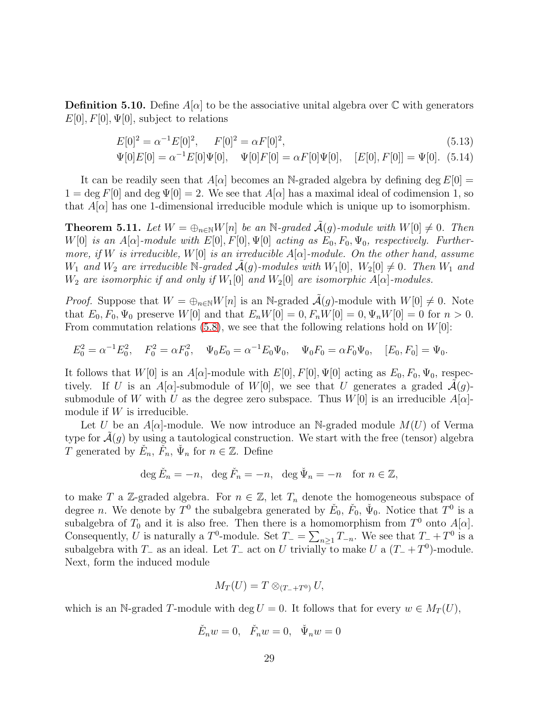**Definition 5.10.** Define  $A[\alpha]$  to be the associative unital algebra over  $\mathbb C$  with generators  $E[0], F[0], \Psi[0],$  subject to relations

$$
E[0]^2 = \alpha^{-1} E[0]^2, \qquad F[0]^2 = \alpha F[0]^2,\tag{5.13}
$$

$$
\Psi[0]E[0] = \alpha^{-1}E[0]\Psi[0], \quad \Psi[0]F[0] = \alpha F[0]\Psi[0], \quad [E[0], F[0]] = \Psi[0]. \tag{5.14}
$$

It can be readily seen that  $A[\alpha]$  becomes an N-graded algebra by defining deg  $E[0] =$  $1 = \deg F[0]$  and  $\deg \Psi[0] = 2$ . We see that  $A[\alpha]$  has a maximal ideal of codimension 1, so that  $A|\alpha|$  has one 1-dimensional irreducible module which is unique up to isomorphism.

<span id="page-28-0"></span>**Theorem 5.11.** Let  $W = \bigoplus_{n \in \mathbb{N}} W[n]$  be an N-graded  $\mathcal{A}(g)$ -module with  $W[0] \neq 0$ . Then W[0] is an  $A[\alpha]$ -module with  $E[0], F[0], \Psi[0]$  acting as  $E_0, F_0, \Psi_0$ , respectively. Furthermore, if W is irreducible,  $W[0]$  is an irreducible  $A[\alpha]$ -module. On the other hand, assume  $W_1$  and  $W_2$  are irreducible N-graded  $\mathcal{A}(g)$ -modules with  $W_1[0], W_2[0] \neq 0$ . Then  $W_1$  and  $W_2$  are isomorphic if and only if  $W_1[0]$  and  $W_2[0]$  are isomorphic  $A[\alpha]$ -modules.

*Proof.* Suppose that  $W = \bigoplus_{n \in \mathbb{N}} W[n]$  is an N-graded  $\tilde{A}(g)$ -module with  $W[0] \neq 0$ . Note that  $E_0, F_0, \Psi_0$  preserve  $W[0]$  and that  $E_n W[0] = 0, F_n W[0] = 0, \Psi_n W[0] = 0$  for  $n > 0$ . From commutation relations [\(5.8\)](#page-24-1), we see that the following relations hold on  $W[0]$ :

$$
E_0^2 = \alpha^{-1} E_0^2, \quad F_0^2 = \alpha F_0^2, \quad \Psi_0 E_0 = \alpha^{-1} E_0 \Psi_0, \quad \Psi_0 F_0 = \alpha F_0 \Psi_0, \quad [E_0, F_0] = \Psi_0.
$$

It follows that  $W[0]$  is an  $A[\alpha]$ -module with  $E[0], F[0], \Psi[0]$  acting as  $E_0, F_0, \Psi_0$ , respectively. If U is an A[ $\alpha$ ]-submodule of W[0], we see that U generates a graded  $\mathcal{A}(g)$ submodule of W with U as the degree zero subspace. Thus  $W[0]$  is an irreducible  $A[\alpha]$ module if  $W$  is irreducible.

Let U be an  $A[\alpha]$ -module. We now introduce an N-graded module  $M(U)$  of Verma type for  $\mathcal{A}(g)$  by using a tautological construction. We start with the free (tensor) algebra T generated by  $\check{E}_n$ ,  $\check{F}_n$ ,  $\check{\Psi}_n$  for  $n \in \mathbb{Z}$ . Define

$$
\deg \check{E}_n = -n, \ \ \deg \check{F}_n = -n, \ \ \deg \check{\Psi}_n = -n \quad \text{for } n \in \mathbb{Z},
$$

to make T a Z-graded algebra. For  $n \in \mathbb{Z}$ , let  $T_n$  denote the homogeneous subspace of degree *n*. We denote by  $T^0$  the subalgebra generated by  $\check{E}_0$ ,  $\check{F}_0$ ,  $\check{\Psi}_0$ . Notice that  $T^0$  is a subalgebra of  $T_0$  and it is also free. Then there is a homomorphism from  $T^0$  onto  $A[\alpha]$ . Consequently, U is naturally a  $T^0$ -module. Set  $T_-=\sum_{n\geq 1}T_{-n}$ . We see that  $T_-+T^0$  is a subalgebra with  $T_-\$  as an ideal. Let  $T_-\$  act on U trivially to make U a  $(T_-+T^0)$ -module. Next, form the induced module

$$
M_T(U) = T \otimes_{(T_-+T^0)} U,
$$

which is an N-graded T-module with deg  $U = 0$ . It follows that for every  $w \in M_T(U)$ ,

$$
\check{E}_nw=0,\quad \check{F}_nw=0,\quad \check{\Psi}_nw=0
$$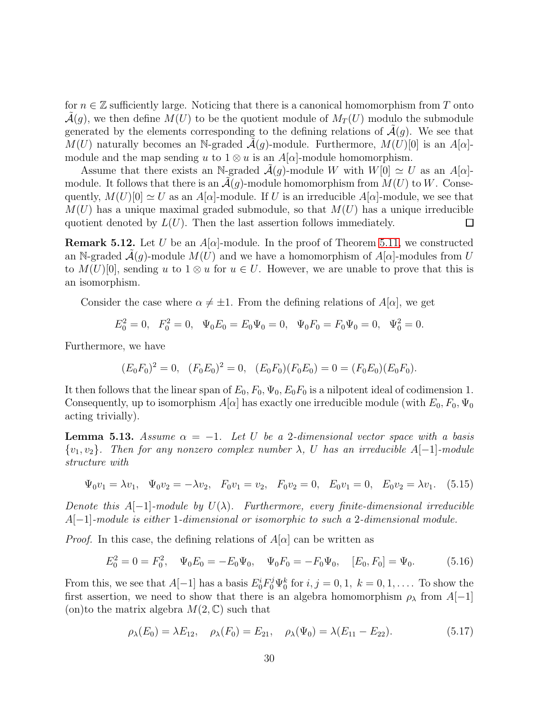for  $n \in \mathbb{Z}$  sufficiently large. Noticing that there is a canonical homomorphism from T onto  $\mathcal{A}(g)$ , we then define  $M(U)$  to be the quotient module of  $M_T(U)$  modulo the submodule generated by the elements corresponding to the defining relations of  $\mathcal{A}(g)$ . We see that M(U) naturally becomes an N-graded  $\mathcal{A}(q)$ -module. Furthermore,  $M(U)[0]$  is an  $A[\alpha]$ module and the map sending u to  $1 \otimes u$  is an  $A[\alpha]$ -module homomorphism.

Assume that there exists an N-graded  $\mathcal{A}(q)$ -module W with  $W[0] \simeq U$  as an  $A[\alpha]$ module. It follows that there is an  $\mathcal{A}(g)$ -module homomorphism from  $M(U)$  to W. Consequently,  $M(U)[0] \simeq U$  as an  $A[\alpha]$ -module. If U is an irreducible  $A[\alpha]$ -module, we see that  $M(U)$  has a unique maximal graded submodule, so that  $M(U)$  has a unique irreducible quotient denoted by  $L(U)$ . Then the last assertion follows immediately.  $\Box$ 

**Remark 5.12.** Let U be an  $A[\alpha]$ -module. In the proof of Theorem [5.11,](#page-28-0) we constructed an N-graded  $\mathcal{A}(q)$ -module  $M(U)$  and we have a homomorphism of  $A[\alpha]$ -modules from U to  $M(U)[0]$ , sending u to  $1 \otimes u$  for  $u \in U$ . However, we are unable to prove that this is an isomorphism.

Consider the case where  $\alpha \neq \pm 1$ . From the defining relations of  $A[\alpha]$ , we get

$$
E_0^2 = 0, \quad F_0^2 = 0, \quad \Psi_0 E_0 = E_0 \Psi_0 = 0, \quad \Psi_0 F_0 = F_0 \Psi_0 = 0, \quad \Psi_0^2 = 0.
$$

Furthermore, we have

$$
(E_0F_0)^2 = 0, \quad (F_0E_0)^2 = 0, \quad (E_0F_0)(F_0E_0) = 0 = (F_0E_0)(E_0F_0).
$$

It then follows that the linear span of  $E_0$ ,  $F_0$ ,  $\Psi_0$ ,  $E_0F_0$  is a nilpotent ideal of codimension 1. Consequently, up to isomorphism  $A[\alpha]$  has exactly one irreducible module (with  $E_0, F_0, \Psi_0$ acting trivially).

**Lemma 5.13.** Assume  $\alpha = -1$ . Let U be a 2-dimensional vector space with a basis  ${v_1, v_2}$ . Then for any nonzero complex number  $\lambda$ , U has an irreducible A[−1]-module structure with

$$
\Psi_0 v_1 = \lambda v_1, \quad \Psi_0 v_2 = -\lambda v_2, \quad F_0 v_1 = v_2, \quad F_0 v_2 = 0, \quad E_0 v_1 = 0, \quad E_0 v_2 = \lambda v_1.
$$
 (5.15)

Denote this  $A[-1]$ -module by  $U(\lambda)$ . Furthermore, every finite-dimensional irreducible  $A[-1]$ -module is either 1-dimensional or isomorphic to such a 2-dimensional module.

*Proof.* In this case, the defining relations of  $A[\alpha]$  can be written as

$$
E_0^2 = 0 = F_0^2, \quad \Psi_0 E_0 = -E_0 \Psi_0, \quad \Psi_0 F_0 = -F_0 \Psi_0, \quad [E_0, F_0] = \Psi_0. \tag{5.16}
$$

From this, we see that  $A[-1]$  has a basis  $E_0^i F_0^j \Psi_0^k$  for  $i, j = 0, 1, k = 0, 1, \ldots$  To show the first assertion, we need to show that there is an algebra homomorphism  $\rho_{\lambda}$  from  $A[-1]$ (on)to the matrix algebra  $M(2, \mathbb{C})$  such that

$$
\rho_{\lambda}(E_0) = \lambda E_{12}, \quad \rho_{\lambda}(F_0) = E_{21}, \quad \rho_{\lambda}(\Psi_0) = \lambda(E_{11} - E_{22}). \tag{5.17}
$$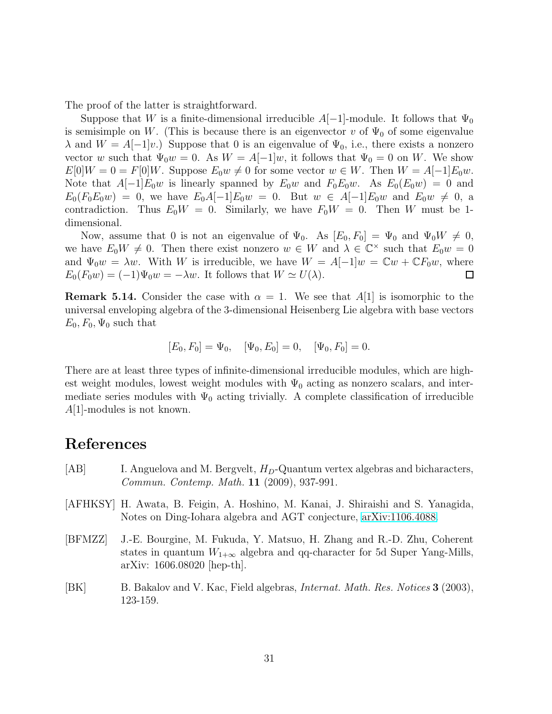The proof of the latter is straightforward.

Suppose that W is a finite-dimensional irreducible  $A[-1]$ -module. It follows that  $\Psi_0$ is semisimple on W. (This is because there is an eigenvector v of  $\Psi_0$  of some eigenvalue  $\lambda$  and  $W = A[-1]v$ .) Suppose that 0 is an eigenvalue of  $\Psi_0$ , i.e., there exists a nonzero vector w such that  $\Psi_0w = 0$ . As  $W = A[-1]w$ , it follows that  $\Psi_0 = 0$  on W. We show  $E[0]W = 0 = F[0]W$ . Suppose  $E_0 w \neq 0$  for some vector  $w \in W$ . Then  $W = A[-1]E_0w$ . Note that  $A[-1]E_0w$  is linearly spanned by  $E_0w$  and  $F_0E_0w$ . As  $E_0(E_0w) = 0$  and  $E_0(F_0E_0w) = 0$ , we have  $E_0A[-1]E_0w = 0$ . But  $w \in A[-1]E_0w$  and  $E_0w \neq 0$ , a contradiction. Thus  $E_0W = 0$ . Similarly, we have  $F_0W = 0$ . Then W must be 1dimensional.

Now, assume that 0 is not an eigenvalue of  $\Psi_0$ . As  $[E_0, F_0] = \Psi_0$  and  $\Psi_0 W \neq 0$ , we have  $E_0 W \neq 0$ . Then there exist nonzero  $w \in W$  and  $\lambda \in \mathbb{C}^\times$  such that  $E_0 w = 0$ and  $\Psi_0 w = \lambda w$ . With W is irreducible, we have  $W = A[-1]w = \mathbb{C}w + \mathbb{C}F_0 w$ , where  $E_0(F_0w) = (-1)\Psi_0w = -\lambda w$ . It follows that  $W \simeq U(\lambda)$ . □

**Remark 5.14.** Consider the case with  $\alpha = 1$ . We see that A[1] is isomorphic to the universal enveloping algebra of the 3-dimensional Heisenberg Lie algebra with base vectors  $E_0, F_0, \Psi_0$  such that

$$
[E_0, F_0] = \Psi_0, \quad [\Psi_0, E_0] = 0, \quad [\Psi_0, F_0] = 0.
$$

There are at least three types of infinite-dimensional irreducible modules, which are highest weight modules, lowest weight modules with  $\Psi_0$  acting as nonzero scalars, and intermediate series modules with  $\Psi_0$  acting trivially. A complete classification of irreducible  $A[1]$ -modules is not known.

### References

- <span id="page-30-2"></span> $|AB|$  I. Anguelova and M. Bergvelt,  $H_D$ -Quantum vertex algebras and bicharacters, Commun. Contemp. Math. 11 (2009), 937-991.
- <span id="page-30-1"></span>[AFHKSY] H. Awata, B. Feigin, A. Hoshino, M. Kanai, J. Shiraishi and S. Yanagida, Notes on Ding-Iohara algebra and AGT conjecture, [arXiv:1106.4088.](http://arxiv.org/abs/1106.4088)
- <span id="page-30-0"></span>[BFMZZ] J.-E. Bourgine, M. Fukuda, Y. Matsuo, H. Zhang and R.-D. Zhu, Coherent states in quantum  $W_{1+\infty}$  algebra and qq-character for 5d Super Yang-Mills, arXiv: 1606.08020 [hep-th].
- <span id="page-30-3"></span>[BK] B. Bakalov and V. Kac, Field algebras, Internat. Math. Res. Notices 3 (2003), 123-159.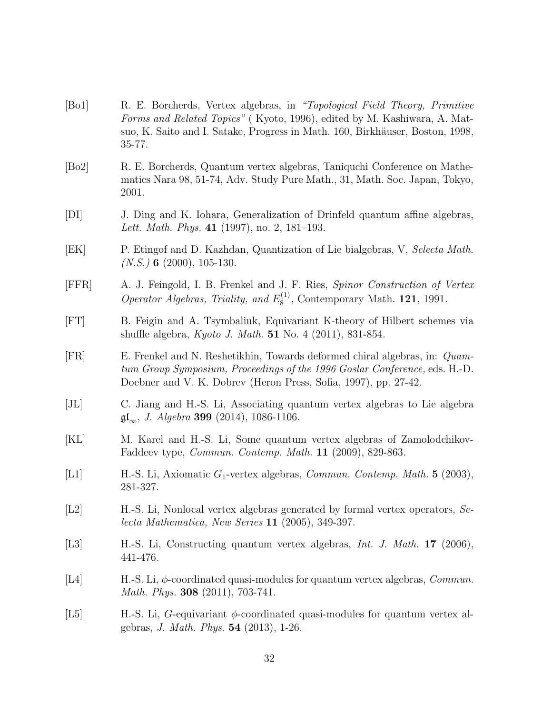- <span id="page-31-11"></span>[Bo1] R. E. Borcherds, Vertex algebras, in "Topological Field Theory, Primitive Forms and Related Topics" ( Kyoto, 1996), edited by M. Kashiwara, A. Matsuo, K. Saito and I. Satake, Progress in Math. 160, Birkhäuser, Boston, 1998, 35-77.
- <span id="page-31-6"></span>[Bo2] R. E. Borcherds, Quantum vertex algebras, Taniquchi Conference on Mathematics Nara 98, 51-74, Adv. Study Pure Math., 31, Math. Soc. Japan, Tokyo, 2001.
- <span id="page-31-0"></span>[DI] J. Ding and K. Iohara, Generalization of Drinfeld quantum affine algebras, Lett. Math. Phys. 41 (1997), no. 2, 181–193.
- <span id="page-31-5"></span>[EK] P. Etingof and D. Kazhdan, Quantization of Lie bialgebras, V, Selecta Math.  $(N.S.)$  6 (2000), 105-130.
- [FFR] A. J. Feingold, I. B. Frenkel and J. F. Ries, Spinor Construction of Vertex Operator Algebras, Triality, and  $E_8^{(1)}$  $_{8}^{(1)}$ , Contemporary Math. **121**, 1991.
- <span id="page-31-1"></span>[FT] B. Feigin and A. Tsymbaliuk, Equivariant K-theory of Hilbert schemes via shuffle algebra, Kyoto J. Math. 51 No. 4 (2011), 831-854.
- <span id="page-31-4"></span>[FR] E. Frenkel and N. Reshetikhin, Towards deformed chiral algebras, in: Quamtum Group Symposium, Proceedings of the 1996 Goslar Conference, eds. H.-D. Doebner and V. K. Dobrev (Heron Press, Sofia, 1997), pp. 27-42.
- [JL] C. Jiang and H.-S. Li, Associating quantum vertex algebras to Lie algebra  $\mathfrak{gl}_{\infty}$ , J. Algebra 399 (2014), 1086-1106.
- <span id="page-31-9"></span>[KL] M. Karel and H.-S. Li, Some quantum vertex algebras of Zamolodchikov-Faddeev type, Commun. Contemp. Math. 11 (2009), 829-863.
- <span id="page-31-10"></span>[L1] H.-S. Li, Axiomatic  $G_1$ -vertex algebras, *Commun. Contemp. Math.* 5 (2003), 281-327.
- <span id="page-31-2"></span>[L2] H.-S. Li, Nonlocal vertex algebras generated by formal vertex operators, Selecta Mathematica, New Series 11 (2005), 349-397.
- <span id="page-31-7"></span>[L3] H.-S. Li, Constructing quantum vertex algebras, *Int. J. Math.* 17 (2006), 441-476.
- <span id="page-31-3"></span>[L4] H.-S. Li,  $\phi$ -coordinated quasi-modules for quantum vertex algebras, *Commun.* Math. Phys. **308** (2011), 703-741.
- <span id="page-31-8"></span>[L5] H.-S. Li, G-equivariant  $\phi$ -coordinated quasi-modules for quantum vertex algebras, J. Math. Phys. 54 (2013), 1-26.